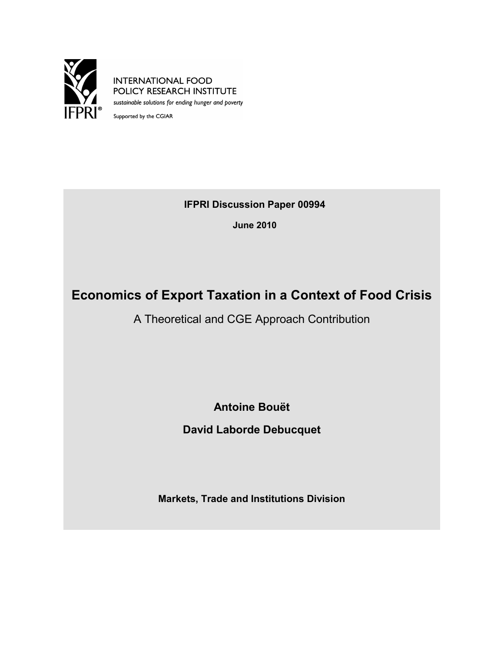

**INTERNATIONAL FOOD** POLICY RESEARCH INSTITUTE sustainable solutions for ending hunger and poverty

Supported by the CGIAR

**IFPRI Discussion Paper 00994**

**June 2010**

# **Economics of Export Taxation in a Context of Food Crisis**

A Theoretical and CGE Approach Contribution

**Antoine Bouët**

**David Laborde Debucquet**

**Markets, Trade and Institutions Division**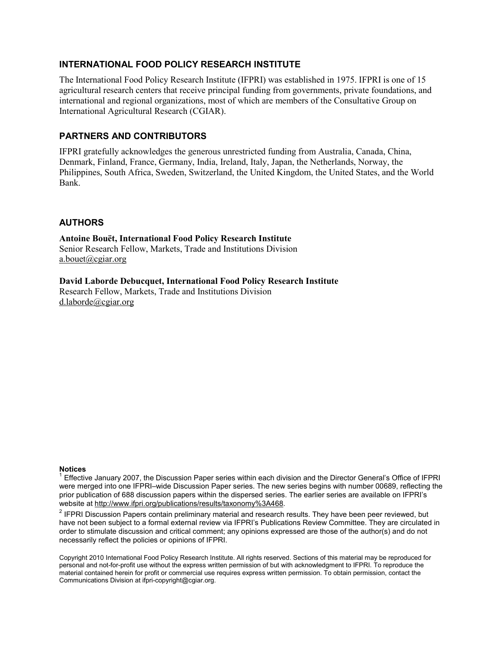### **INTERNATIONAL FOOD POLICY RESEARCH INSTITUTE**

The International Food Policy Research Institute (IFPRI) was established in 1975. IFPRI is one of 15 agricultural research centers that receive principal funding from governments, private foundations, and international and regional organizations, most of which are members of the Consultative Group on International Agricultural Research (CGIAR).

### **PARTNERS AND CONTRIBUTORS**

IFPRI gratefully acknowledges the generous unrestricted funding from Australia, Canada, China, Denmark, Finland, France, Germany, India, Ireland, Italy, Japan, the Netherlands, Norway, the Philippines, South Africa, Sweden, Switzerland, the United Kingdom, the United States, and the World Bank.

#### **AUTHORS**

**Antoine Bouët, International Food Policy Research Institute** Senior Research Fellow, Markets, Trade and Institutions Division [a.bouet@cgiar.org](mailto:a.bouet@cgiar.org)

**David Laborde Debucquet, International Food Policy Research Institute** Research Fellow, Markets, Trade and Institutions Division [d.laborde@cgiar.org](mailto:d.laborde@cgiar.org)

#### **Notices**

 $2$  IFPRI Discussion Papers contain preliminary material and research results. They have been peer reviewed, but have not been subject to a formal external review via IFPRI's Publications Review Committee. They are circulated in order to stimulate discussion and critical comment; any opinions expressed are those of the author(s) and do not necessarily reflect the policies or opinions of IFPRI.

Copyright 2010 International Food Policy Research Institute. All rights reserved. Sections of this material may be reproduced for personal and not-for-profit use without the express written permission of but with acknowledgment to IFPRI. To reproduce the material contained herein for profit or commercial use requires express written permission. To obtain permission, contact the Communications Division at ifpri-copyright@cgiar.org.

<sup>&</sup>lt;sup>1</sup> Effective January 2007, the Discussion Paper series within each division and the Director General's Office of IFPRI were merged into one IFPRI–wide Discussion Paper series. The new series begins with number 00689, reflecting the prior publication of 688 discussion papers within the dispersed series. The earlier series are available on IFPRI's website at [http://www.ifpri.org/publications/results/taxonomy%3A468.](http://www.ifpri.org/publications/results/taxonomy%3A468)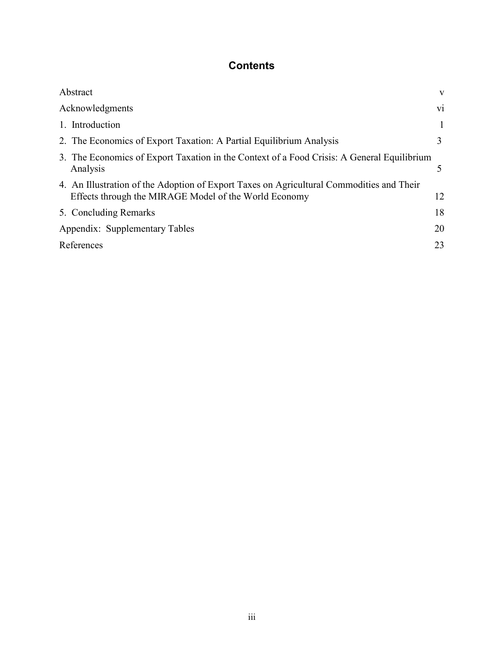# **Contents**

| Abstract                                                                                                                                          | $\mathbf{V}$ |
|---------------------------------------------------------------------------------------------------------------------------------------------------|--------------|
| Acknowledgments                                                                                                                                   | vi           |
| 1. Introduction                                                                                                                                   |              |
| 2. The Economics of Export Taxation: A Partial Equilibrium Analysis                                                                               | 3            |
| 3. The Economics of Export Taxation in the Context of a Food Crisis: A General Equilibrium<br>Analysis                                            |              |
| 4. An Illustration of the Adoption of Export Taxes on Agricultural Commodities and Their<br>Effects through the MIRAGE Model of the World Economy | 12           |
| 5. Concluding Remarks                                                                                                                             | 18           |
| Appendix: Supplementary Tables                                                                                                                    | 20           |
| References                                                                                                                                        | 23           |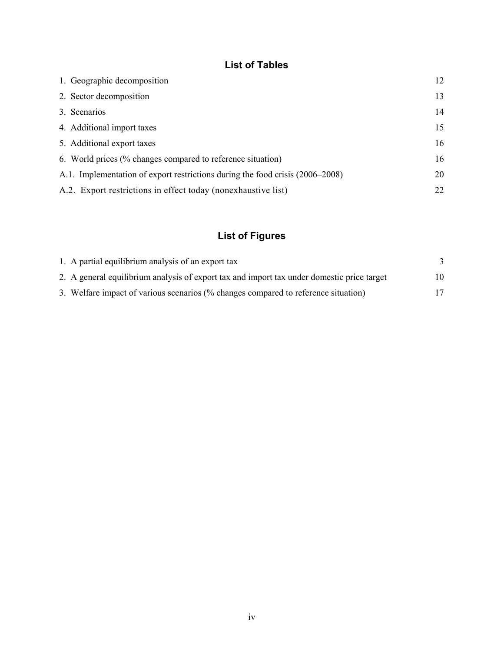# **List of Tables**

| 1. Geographic decomposition                                                   | 12 |
|-------------------------------------------------------------------------------|----|
| 2. Sector decomposition                                                       | 13 |
| 3. Scenarios                                                                  | 14 |
| 4. Additional import taxes                                                    | 15 |
| 5. Additional export taxes                                                    | 16 |
| 6. World prices (% changes compared to reference situation)                   | 16 |
| A.1. Implementation of export restrictions during the food crisis (2006–2008) | 20 |
| A.2. Export restrictions in effect today (nonexhaustive list)                 | 22 |

# **List of Figures**

| 1. A partial equilibrium analysis of an export tax                                         |    |
|--------------------------------------------------------------------------------------------|----|
| 2. A general equilibrium analysis of export tax and import tax under domestic price target | 10 |
| 3. Welfare impact of various scenarios (% changes compared to reference situation)         |    |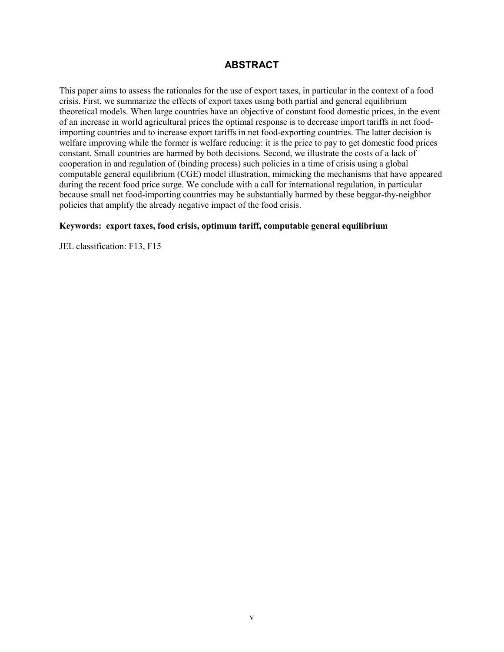## **ABSTRACT**

This paper aims to assess the rationales for the use of export taxes, in particular in the context of a food crisis. First, we summarize the effects of export taxes using both partial and general equilibrium theoretical models. When large countries have an objective of constant food domestic prices, in the event of an increase in world agricultural prices the optimal response is to decrease import tariffs in net foodimporting countries and to increase export tariffs in net food-exporting countries. The latter decision is welfare improving while the former is welfare reducing: it is the price to pay to get domestic food prices constant. Small countries are harmed by both decisions. Second, we illustrate the costs of a lack of cooperation in and regulation of (binding process) such policies in a time of crisis using a global computable general equilibrium (CGE) model illustration, mimicking the mechanisms that have appeared during the recent food price surge. We conclude with a call for international regulation, in particular because small net food-importing countries may be substantially harmed by these beggar-thy-neighbor policies that amplify the already negative impact of the food crisis.

#### **Keywords: export taxes, food crisis, optimum tariff, computable general equilibrium**

JEL classification: F13, F15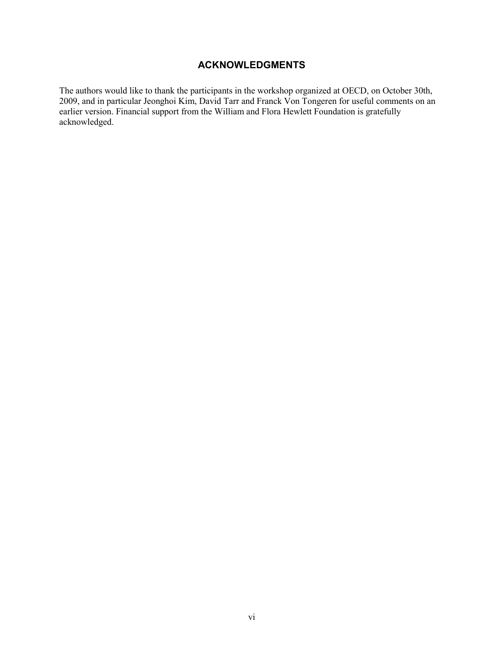## **ACKNOWLEDGMENTS**

The authors would like to thank the participants in the workshop organized at OECD, on October 30th, 2009, and in particular Jeonghoi Kim, David Tarr and Franck Von Tongeren for useful comments on an earlier version. Financial support from the William and Flora Hewlett Foundation is gratefully acknowledged.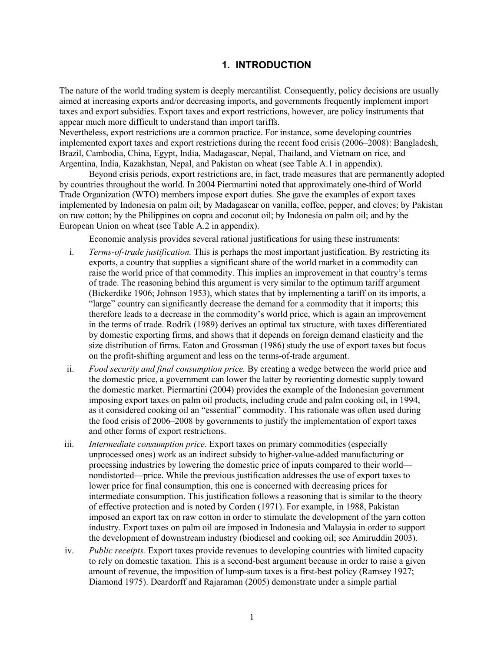## **1. INTRODUCTION**

The nature of the world trading system is deeply mercantilist. Consequently, policy decisions are usually aimed at increasing exports and/or decreasing imports, and governments frequently implement import taxes and export subsidies. Export taxes and export restrictions, however, are policy instruments that appear much more difficult to understand than import tariffs.

Nevertheless, export restrictions are a common practice. For instance, some developing countries implemented export taxes and export restrictions during the recent food crisis (2006–2008): Bangladesh, Brazil, Cambodia, China, Egypt, India, Madagascar, Nepal, Thailand, and Vietnam on rice, and Argentina, India, Kazakhstan, Nepal, and Pakistan on wheat (see Table A.1 in appendix).

Beyond crisis periods, export restrictions are, in fact, trade measures that are permanently adopted by countries throughout the world. In 2004 Piermartini noted that approximately one-third of World Trade Organization (WTO) members impose export duties. She gave the examples of export taxes implemented by Indonesia on palm oil; by Madagascar on vanilla, coffee, pepper, and cloves; by Pakistan on raw cotton; by the Philippines on copra and coconut oil; by Indonesia on palm oil; and by the European Union on wheat (see Table A.2 in appendix).

Economic analysis provides several rational justifications for using these instruments:

- i. *Terms-of-trade justification.* This is perhaps the most important justification. By restricting its exports, a country that supplies a significant share of the world market in a commodity can raise the world price of that commodity. This implies an improvement in that country's terms of trade. The reasoning behind this argument is very similar to the optimum tariff argument (Bickerdike 1906; Johnson 1953), which states that by implementing a tariff on its imports, a "large" country can significantly decrease the demand for a commodity that it imports; this therefore leads to a decrease in the commodity's world price, which is again an improvement in the terms of trade. Rodrik (1989) derives an optimal tax structure, with taxes differentiated by domestic exporting firms, and shows that it depends on foreign demand elasticity and the size distribution of firms. Eaton and Grossman (1986) study the use of export taxes but focus on the profit-shifting argument and less on the terms-of-trade argument.
- ii. *Food security and final consumption price.* By creating a wedge between the world price and the domestic price, a government can lower the latter by reorienting domestic supply toward the domestic market. Piermartini (2004) provides the example of the Indonesian government imposing export taxes on palm oil products, including crude and palm cooking oil, in 1994, as it considered cooking oil an "essential" commodity. This rationale was often used during the food crisis of 2006–2008 by governments to justify the implementation of export taxes and other forms of export restrictions.
- iii. *Intermediate consumption price.* Export taxes on primary commodities (especially unprocessed ones) work as an indirect subsidy to higher-value-added manufacturing or processing industries by lowering the domestic price of inputs compared to their world nondistorted—price. While the previous justification addresses the use of export taxes to lower price for final consumption, this one is concerned with decreasing prices for intermediate consumption. This justification follows a reasoning that is similar to the theory of effective protection and is noted by Corden (1971). For example, in 1988, Pakistan imposed an export tax on raw cotton in order to stimulate the development of the yarn cotton industry. Export taxes on palm oil are imposed in Indonesia and Malaysia in order to support the development of downstream industry (biodiesel and cooking oil; see Amiruddin 2003).
- iv. *Public receipts.* Export taxes provide revenues to developing countries with limited capacity to rely on domestic taxation. This is a second-best argument because in order to raise a given amount of revenue, the imposition of lump-sum taxes is a first-best policy (Ramsey 1927; Diamond 1975). Deardorff and Rajaraman (2005) demonstrate under a simple partial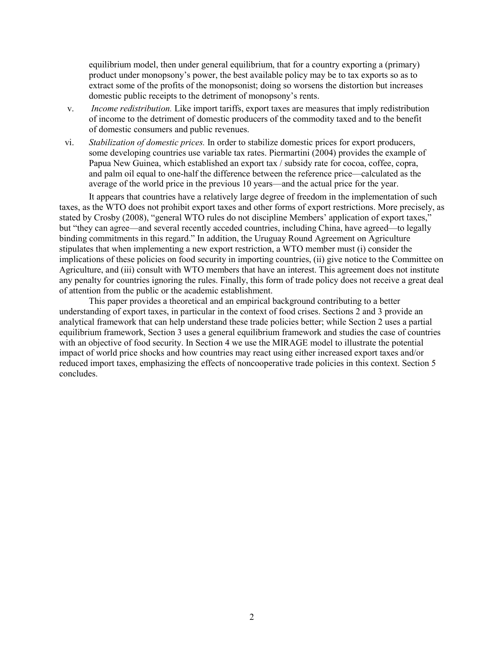equilibrium model, then under general equilibrium, that for a country exporting a (primary) product under monopsony's power, the best available policy may be to tax exports so as to extract some of the profits of the monopsonist; doing so worsens the distortion but increases domestic public receipts to the detriment of monopsony's rents.

- v. *Income redistribution.* Like import tariffs, export taxes are measures that imply redistribution of income to the detriment of domestic producers of the commodity taxed and to the benefit of domestic consumers and public revenues.
- vi. *Stabilization of domestic prices.* In order to stabilize domestic prices for export producers, some developing countries use variable tax rates. Piermartini (2004) provides the example of Papua New Guinea, which established an export tax / subsidy rate for cocoa, coffee, copra, and palm oil equal to one-half the difference between the reference price—calculated as the average of the world price in the previous 10 years—and the actual price for the year.

It appears that countries have a relatively large degree of freedom in the implementation of such taxes, as the WTO does not prohibit export taxes and other forms of export restrictions. More precisely, as stated by Crosby (2008), "general WTO rules do not discipline Members' application of export taxes," but "they can agree—and several recently acceded countries, including China, have agreed—to legally binding commitments in this regard." In addition, the Uruguay Round Agreement on Agriculture stipulates that when implementing a new export restriction, a WTO member must (i) consider the implications of these policies on food security in importing countries, (ii) give notice to the Committee on Agriculture, and (iii) consult with WTO members that have an interest. This agreement does not institute any penalty for countries ignoring the rules. Finally, this form of trade policy does not receive a great deal of attention from the public or the academic establishment.

This paper provides a theoretical and an empirical background contributing to a better understanding of export taxes, in particular in the context of food crises. Sections 2 and 3 provide an analytical framework that can help understand these trade policies better; while Section 2 uses a partial equilibrium framework, Section 3 uses a general equilibrium framework and studies the case of countries with an objective of food security. In Section 4 we use the MIRAGE model to illustrate the potential impact of world price shocks and how countries may react using either increased export taxes and/or reduced import taxes, emphasizing the effects of noncooperative trade policies in this context. Section 5 concludes.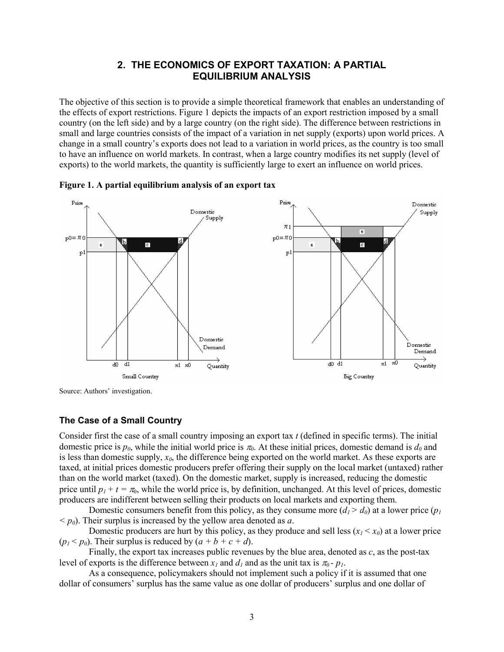## **2. THE ECONOMICS OF EXPORT TAXATION: A PARTIAL EQUILIBRIUM ANALYSIS**

The objective of this section is to provide a simple theoretical framework that enables an understanding of the effects of export restrictions. Figure 1 depicts the impacts of an export restriction imposed by a small country (on the left side) and by a large country (on the right side). The difference between restrictions in small and large countries consists of the impact of a variation in net supply (exports) upon world prices. A change in a small country's exports does not lead to a variation in world prices, as the country is too small to have an influence on world markets. In contrast, when a large country modifies its net supply (level of exports) to the world markets, the quantity is sufficiently large to exert an influence on world prices.





Source: Authors' investigation.

#### **The Case of a Small Country**

Consider first the case of a small country imposing an export tax *t* (defined in specific terms). The initial domestic price is  $p_0$ , while the initial world price is  $\pi_0$ . At these initial prices, domestic demand is  $d_0$  and is less than domestic supply, *x0*, the difference being exported on the world market. As these exports are taxed, at initial prices domestic producers prefer offering their supply on the local market (untaxed) rather than on the world market (taxed). On the domestic market, supply is increased, reducing the domestic price until  $p_1 + t = \pi_0$ , while the world price is, by definition, unchanged. At this level of prices, domestic producers are indifferent between selling their products on local markets and exporting them.

Domestic consumers benefit from this policy, as they consume more  $(d_1 > d_0)$  at a lower price  $(p_1$  $\langle p_0 \rangle$ . Their surplus is increased by the yellow area denoted as *a*.

Domestic producers are hurt by this policy, as they produce and sell less  $(x<sub>l</sub> < x<sub>0</sub>)$  at a lower price  $(p_1 < p_0)$ . Their surplus is reduced by  $(a + b + c + d)$ .

Finally, the export tax increases public revenues by the blue area, denoted as *c*, as the post-tax level of exports is the difference between  $x_l$  and  $d_l$  and as the unit tax is  $\pi_0$ -  $p_l$ .

As a consequence, policymakers should not implement such a policy if it is assumed that one dollar of consumers' surplus has the same value as one dollar of producers' surplus and one dollar of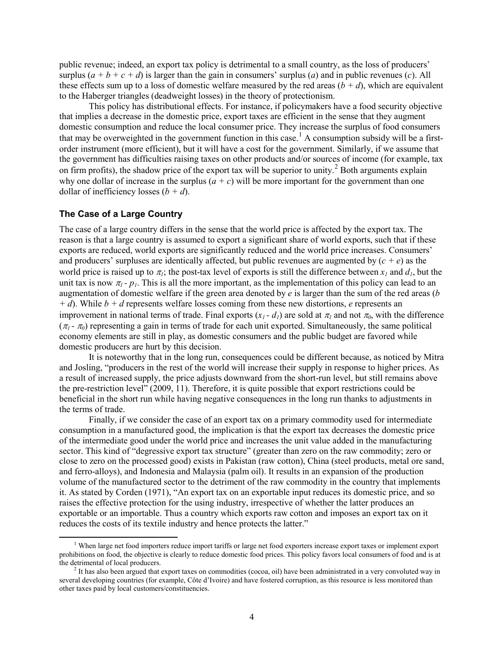public revenue; indeed, an export tax policy is detrimental to a small country, as the loss of producers' surplus  $(a + b + c + d)$  is larger than the gain in consumers' surplus (*a*) and in public revenues (*c*). All these effects sum up to a loss of domestic welfare measured by the red areas  $(b + d)$ , which are equivalent to the Haberger triangles (deadweight losses) in the theory of protectionism.

This policy has distributional effects. For instance, if policymakers have a food security objective that implies a decrease in the domestic price, export taxes are efficient in the sense that they augment domestic consumption and reduce the local consumer price. They increase the surplus of food consumers that may be overweighted in the government function in this case.<sup>[1](#page-9-0)</sup> A consumption subsidy will be a firstorder instrument (more efficient), but it will have a cost for the government. Similarly, if we assume that the government has difficulties raising taxes on other products and/or sources of income (for example, tax on firm profits), the shadow price of the export tax will be superior to unity.<sup>[2](#page-9-1)</sup> Both arguments explain why one dollar of increase in the surplus  $(a + c)$  will be more important for the government than one dollar of inefficiency losses  $(b + d)$ .

### **The Case of a Large Country**

The case of a large country differs in the sense that the world price is affected by the export tax. The reason is that a large country is assumed to export a significant share of world exports, such that if these exports are reduced, world exports are significantly reduced and the world price increases. Consumers' and producers' surpluses are identically affected, but public revenues are augmented by  $(c + e)$  as the world price is raised up to  $\pi_l$ ; the post-tax level of exports is still the difference between  $x_l$  and  $d_l$ , but the unit tax is now  $\pi_1$  -  $p_1$ . This is all the more important, as the implementation of this policy can lead to an augmentation of domestic welfare if the green area denoted by *e* is larger than the sum of the red areas (*b + d*). While *b + d* represents welfare losses coming from these new distortions, *e* represents an improvement in national terms of trade. Final exports  $(x_1 - d_1)$  are sold at  $\pi_1$  and not  $\pi_0$ , with the difference  $(\pi_1 - \pi_0)$  representing a gain in terms of trade for each unit exported. Simultaneously, the same political economy elements are still in play, as domestic consumers and the public budget are favored while domestic producers are hurt by this decision.

It is noteworthy that in the long run, consequences could be different because, as noticed by Mitra and Josling, "producers in the rest of the world will increase their supply in response to higher prices. As a result of increased supply, the price adjusts downward from the short-run level, but still remains above the pre-restriction level" (2009, 11). Therefore, it is quite possible that export restrictions could be beneficial in the short run while having negative consequences in the long run thanks to adjustments in the terms of trade.

Finally, if we consider the case of an export tax on a primary commodity used for intermediate consumption in a manufactured good, the implication is that the export tax decreases the domestic price of the intermediate good under the world price and increases the unit value added in the manufacturing sector. This kind of "degressive export tax structure" (greater than zero on the raw commodity; zero or close to zero on the processed good) exists in Pakistan (raw cotton), China (steel products, metal ore sand, and ferro-alloys), and Indonesia and Malaysia (palm oil). It results in an expansion of the production volume of the manufactured sector to the detriment of the raw commodity in the country that implements it. As stated by Corden (1971), "An export tax on an exportable input reduces its domestic price, and so raises the effective protection for the using industry, irrespective of whether the latter produces an exportable or an importable. Thus a country which exports raw cotton and imposes an export tax on it reduces the costs of its textile industry and hence protects the latter."

<span id="page-9-0"></span> $<sup>1</sup>$  When large net food importers reduce import tariffs or large net food exporters increase export taxes or implement export</sup> prohibitions on food, the objective is clearly to reduce domestic food prices. This policy favors local consumers of food and is at the detrimental of local producers.<br><sup>2</sup> It has also been argued that export taxes on commodities (cocoa, oil) have been administrated in a very convoluted way in

<span id="page-9-1"></span>several developing countries (for example, Côte d'Ivoire) and have fostered corruption, as this resource is less monitored than other taxes paid by local customers/constituencies.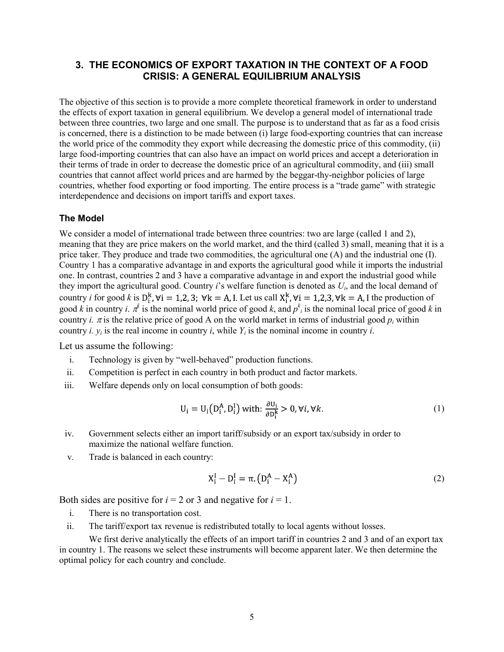## **3. THE ECONOMICS OF EXPORT TAXATION IN THE CONTEXT OF A FOOD CRISIS: A GENERAL EQUILIBRIUM ANALYSIS**

The objective of this section is to provide a more complete theoretical framework in order to understand the effects of export taxation in general equilibrium. We develop a general model of international trade between three countries, two large and one small. The purpose is to understand that as far as a food crisis is concerned, there is a distinction to be made between (i) large food-exporting countries that can increase the world price of the commodity they export while decreasing the domestic price of this commodity, (ii) large food-importing countries that can also have an impact on world prices and accept a deterioration in their terms of trade in order to decrease the domestic price of an agricultural commodity, and (iii) small countries that cannot affect world prices and are harmed by the beggar-thy-neighbor policies of large countries, whether food exporting or food importing. The entire process is a "trade game" with strategic interdependence and decisions on import tariffs and export taxes.

#### **The Model**

We consider a model of international trade between three countries: two are large (called 1 and 2), meaning that they are price makers on the world market, and the third (called 3) small, meaning that it is a price taker. They produce and trade two commodities, the agricultural one (A) and the industrial one (I). Country 1 has a comparative advantage in and exports the agricultural good while it imports the industrial one. In contrast, countries 2 and 3 have a comparative advantage in and export the industrial good while they import the agricultural good. Country *i*'s welfare function is denoted as *Ui*, and the local demand of country *i* for good *k* is  $D_i^k$ ,  $\forall i = 1,2,3$ ;  $\forall k = A$ , I. Let us call  $X_i^k$ ,  $\forall i = 1,2,3$ ,  $\forall k = A$ , I the production of good *k* in country *i*.  $\pi^k$  is the nominal world price of good *k*, and  $p^k_i$  is the nominal local price of good *k* in country *i.*  $\pi$  is the relative price of good A on the world market in terms of industrial good  $p_i$  within country *i*.  $y_i$  is the real income in country *i*, while  $Y_i$  is the nominal income in country *i*.

Let us assume the following:

- i. Technology is given by "well-behaved" production functions.
- ii. Competition is perfect in each country in both product and factor markets.
- iii. Welfare depends only on local consumption of both goods:

$$
U_i = U_i(D_i^A, D_i^I) \text{ with: } \frac{\partial U_i}{\partial D_i^k} > 0, \forall i, \forall k. \tag{1}
$$

- iv. Government selects either an import tariff/subsidy or an export tax/subsidy in order to maximize the national welfare function.
- v. Trade is balanced in each country:

$$
X_{i}^{I} - D_{i}^{I} = \pi \left( D_{i}^{A} - X_{i}^{A} \right)
$$
 (2)

Both sides are positive for  $i = 2$  or 3 and negative for  $i = 1$ .

- i. There is no transportation cost.
- ii. The tariff/export tax revenue is redistributed totally to local agents without losses.

We first derive analytically the effects of an import tariff in countries 2 and 3 and of an export tax in country 1. The reasons we select these instruments will become apparent later. We then determine the optimal policy for each country and conclude.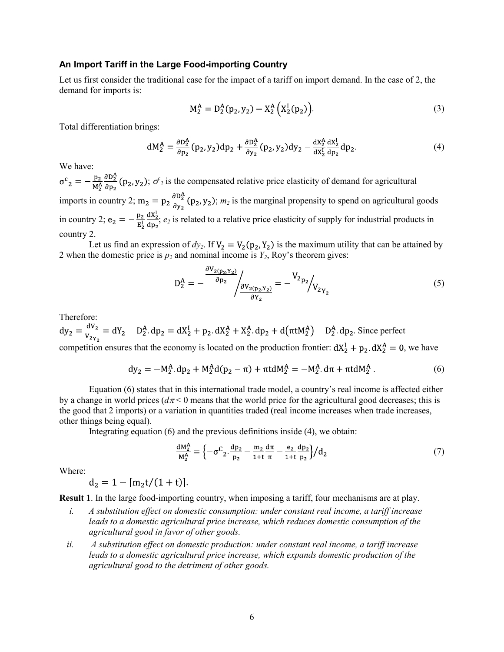#### **An Import Tariff in the Large Food-importing Country**

Let us first consider the traditional case for the impact of a tariff on import demand. In the case of 2, the demand for imports is:

$$
M_2^A = D_2^A(p_2, y_2) - X_2^A(X_2^I(p_2)).
$$
\n(3)

Total differentiation brings:

$$
dM_2^A = \frac{\partial D_2^A}{\partial p_2} (p_2, y_2) dp_2 + \frac{\partial D_2^A}{\partial y_2} (p_2, y_2) dy_2 - \frac{dX_2^A}{dX_2^L} \frac{dX_2^L}{dp_2} dp_2.
$$
 (4)

We have:

;  $\sigma^2$  is the compensated relative price elasticity of demand for agricultural imports in country 2;  $m_2 = p_2 \frac{\partial D_2^A}{\partial y_2} (p_2, y_2)$ ;  $m_2$  is the marginal propensity to spend on agricultural goods in country 2;  $e_2 = -\frac{p_2}{E_2^L} \frac{dX_2^L}{dp_2}$ ;  $e_2$  is related to a relative price elasticity of supply for industrial products in country 2.

Let us find an expression of  $dy_2$ . If  $V_2 = V_2(p_2, Y_2)$  is the maximum utility that can be attained by 2 when the domestic price is  $p_2$  and nominal income is  $Y_2$ , Roy's theorem gives:

$$
D_2^A = -\frac{\frac{\partial V_{2(p_2, Y_2)}}{\partial p_2}}{\frac{\partial V_{2(p_2, Y_2)}}{\partial Y_2}} = -\frac{V_{2p_2}}{V_{2p_2}}
$$
(5)

Therefore:

$$
dy_2 = \frac{dV_2}{V_2V_2} = dY_2 - D_2^A dp_2 = dX_2^I + p_2 \cdot dX_2^A + X_2^A dp_2 + d(\pi t M_2^A) - D_2^A dp_2.
$$
 Since perfect  
commutities, square that the corresponding force has an equation for the matrix  $dY_1 + p_2 dX_2^A = 0$ .

competition ensures that the economy is located on the production frontier:  $dX_2^1 + p_2$ ,  $dX_2^2 = 0$ , we have

$$
dy_2 = -M_2^A \cdot dp_2 + M_2^A d(p_2 - \pi) + \pi t dM_2^A = -M_2^A \cdot d\pi + \pi t dM_2^A \,. \tag{6}
$$

Equation (6) states that in this international trade model, a country's real income is affected either by a change in world prices  $(d\pi < 0$  means that the world price for the agricultural good decreases; this is the good that 2 imports) or a variation in quantities traded (real income increases when trade increases, other things being equal).

Integrating equation (6) and the previous definitions inside (4), we obtain:

$$
\frac{dM_2^A}{M_2^A} = \left\{-\sigma^C_2 \frac{dp_2}{p_2} - \frac{m_2}{1+t} \frac{d\pi}{\pi} - \frac{e_2}{1+t} \frac{dp_2}{p_2}\right\} / d_2 \tag{7}
$$

Where:

 $d_2 = 1 - [m_2t/(1 + t)].$ 

**Result 1**. In the large food-importing country, when imposing a tariff, four mechanisms are at play.

- *i. A substitution effect on domestic consumption: under constant real income, a tariff increase leads to a domestic agricultural price increase, which reduces domestic consumption of the agricultural good in favor of other goods.*
- *ii. A substitution effect on domestic production: under constant real income, a tariff increase leads to a domestic agricultural price increase, which expands domestic production of the agricultural good to the detriment of other goods.*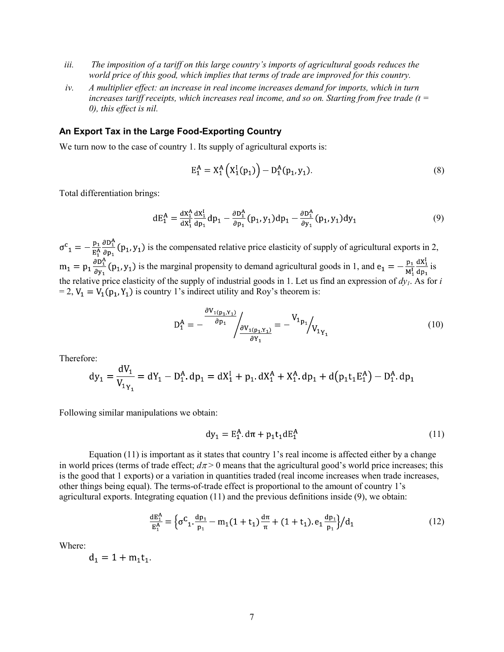- *iii. The imposition of a tariff on this large country's imports of agricultural goods reduces the world price of this good, which implies that terms of trade are improved for this country.*
- *iv. A multiplier effect: an increase in real income increases demand for imports, which in turn increases tariff receipts, which increases real income, and so on. Starting from free trade (t = 0), this effect is nil.*

#### **An Export Tax in the Large Food-Exporting Country**

We turn now to the case of country 1. Its supply of agricultural exports is:

$$
E_1^A = X_1^A (X_1^I(p_1)) - D_1^A(p_1, y_1).
$$
 (8)

Total differentiation brings:

$$
dE_1^A = \frac{dX_1^A}{dX_1^I} \frac{dX_1^I}{dp_1} dp_1 - \frac{\partial D_1^A}{\partial p_1} (p_1, y_1) dp_1 - \frac{\partial D_1^A}{\partial y_1} (p_1, y_1) dy_1 \tag{9}
$$

 $\sigma^{c}$ <sub>1</sub> =  $-\frac{p_1}{R_1^A}\frac{\partial D_1^A}{\partial p_1}(p_1, y_1)$  is the compensated relative price elasticity of supply of agricultural exports in 2,  $m_1 = p_1 \frac{\partial D_1^A}{\partial y_1}(p_1, y_1)$  is the marginal propensity to demand agricultural goods in 1, and  $e_1 = -\frac{p_1}{M_1^2} \frac{dX_1^I}{dp_1}$  is the relative price elasticity of the supply of industrial goods in 1. Let us find an expression of  $dy_1$ . As for *i*  $= 2$ ,  $V_1 = V_1(p_1, Y_1)$  is country 1's indirect utility and Roy's theorem is:

$$
D_1^A = -\frac{\frac{\partial V_{1(p_1, Y_1)}}{\partial p_1}}{\frac{\partial V_{1(p_1, Y_1)}}{\partial Y_1}} = -\frac{V_{1p_1}}{V_{1p_1}}_{V_{1p_1}}
$$
(10)

Therefore:

$$
dy_1 = \frac{dV_1}{V_{1Y_1}} = dY_1 - D_1^A \cdot dp_1 = dX_1^I + p_1 \cdot dX_1^A + X_1^A \cdot dp_1 + d(p_1t_1E_1^A) - D_1^A \cdot dp_1
$$

Following similar manipulations we obtain:

$$
dy_1 = E_1^A \, d\pi + p_1 t_1 dE_1^A \tag{11}
$$

Equation (11) is important as it states that country 1's real income is affected either by a change in world prices (terms of trade effect;  $d\pi$  > 0 means that the agricultural good's world price increases; this is the good that 1 exports) or a variation in quantities traded (real income increases when trade increases, other things being equal). The terms-of-trade effect is proportional to the amount of country 1's agricultural exports. Integrating equation (11) and the previous definitions inside (9), we obtain:

$$
\frac{dE_1^A}{E_1^A} = \left\{ \sigma^C_1 \cdot \frac{dp_1}{p_1} - m_1 (1 + t_1) \frac{d\pi}{\pi} + (1 + t_1) e_1 \frac{dp_1}{p_1} \right\} / d_1 \tag{12}
$$

Where:

$$
d_1 = 1 + m_1 t_1
$$

.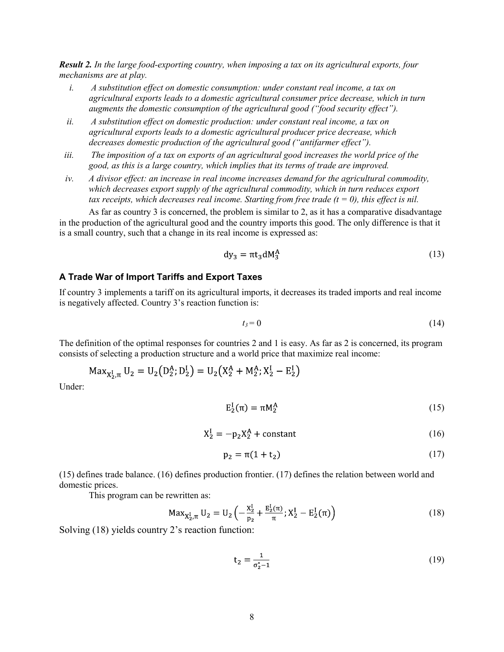*Result 2. In the large food-exporting country, when imposing a tax on its agricultural exports, four mechanisms are at play.* 

- *i. A substitution effect on domestic consumption: under constant real income, a tax on agricultural exports leads to a domestic agricultural consumer price decrease, which in turn augments the domestic consumption of the agricultural good ("food security effect").*
- *ii. A substitution effect on domestic production: under constant real income, a tax on agricultural exports leads to a domestic agricultural producer price decrease, which decreases domestic production of the agricultural good ("antifarmer effect").*
- *iii. The imposition of a tax on exports of an agricultural good increases the world price of the good, as this is a large country, which implies that its terms of trade are improved.*
- *iv. A divisor effect: an increase in real income increases demand for the agricultural commodity, which decreases export supply of the agricultural commodity, which in turn reduces export tax receipts, which decreases real income. Starting from free trade*  $(t = 0)$ *, this effect is nil.*

As far as country 3 is concerned, the problem is similar to 2, as it has a comparative disadvantage in the production of the agricultural good and the country imports this good. The only difference is that it is a small country, such that a change in its real income is expressed as:

$$
dy_3 = \pi t_3 dM_3^A \tag{13}
$$

#### **A Trade War of Import Tariffs and Export Taxes**

If country 3 implements a tariff on its agricultural imports, it decreases its traded imports and real income is negatively affected. Country 3's reaction function is:

$$
t_3 = 0 \tag{14}
$$

The definition of the optimal responses for countries 2 and 1 is easy. As far as 2 is concerned, its program consists of selecting a production structure and a world price that maximize real income:

$$
Max_{X_2^I,\pi} U_2 = U_2(D_2^A; D_2^I) = U_2(X_2^A + M_2^A; X_2^I - E_2^I)
$$

Under:

$$
\mathcal{E}_2^{\mathcal{I}}(\pi) = \pi \mathcal{M}_2^{\mathcal{A}} \tag{15}
$$

$$
X_2^I = -p_2 X_2^A + constant \tag{16}
$$

$$
p_2 = \pi(1 + t_2)
$$
 (17)

(15) defines trade balance. (16) defines production frontier. (17) defines the relation between world and domestic prices.

This program can be rewritten as:

$$
\text{Max}_{X_2^I, \pi} U_2 = U_2 \left( -\frac{X_2^I}{p_2} + \frac{E_2^I(\pi)}{\pi}; X_2^I - E_2^I(\pi) \right) \tag{18}
$$

Solving (18) yields country 2's reaction function:

$$
t_2 = \frac{1}{\sigma_2^* - 1} \tag{19}
$$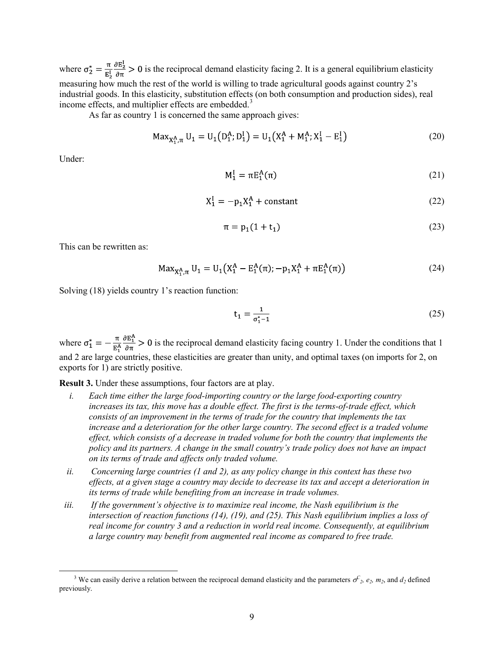where  $\sigma_2^* = \frac{\pi}{E_2^2} \frac{\partial E_2^1}{\partial \pi} > 0$  is the reciprocal demand elasticity facing 2. It is a general equilibrium elasticity measuring how much the rest of the world is willing to trade agricultural goods against country 2's industrial goods. In this elasticity, substitution effects (on both consumption and production sides), real income effects, and multiplier effects are embedded.<sup>[3](#page-14-0)</sup>

As far as country 1 is concerned the same approach gives:

$$
Max_{X_1^A, \pi} U_1 = U_1(D_1^A; D_1^I) = U_1(X_1^A + M_1^A; X_1^I - E_1^I)
$$
\n(20)

Under:

$$
M_1^I = \pi E_1^A(\pi) \tag{21}
$$

$$
X_1^I = -p_1 X_1^A + \text{constant} \tag{22}
$$

$$
\pi = p_1(1 + t_1) \tag{23}
$$

This can be rewritten as:

$$
Max_{X_1^A, \pi} U_1 = U_1 (X_1^A - E_1^A(\pi); -p_1 X_1^A + \pi E_1^A(\pi))
$$
 (24)

Solving (18) yields country 1's reaction function:

$$
t_1 = \frac{1}{\sigma_1^* - 1} \tag{25}
$$

where  $\sigma_1^* = -\frac{\pi}{E_1^A} \frac{\partial E_1^A}{\partial \pi} > 0$  is the reciprocal demand elasticity facing country 1. Under the conditions that 1 and 2 are large countries, these elasticities are greater than unity, and optimal taxes (on imports for 2, on exports for 1) are strictly positive.

**Result 3.** Under these assumptions, four factors are at play.

- *i. Each time either the large food-importing country or the large food-exporting country increases its tax, this move has a double effect. The first is the terms-of-trade effect, which consists of an improvement in the terms of trade for the country that implements the tax increase and a deterioration for the other large country. The second effect is a traded volume effect, which consists of a decrease in traded volume for both the country that implements the policy and its partners. A change in the small country's trade policy does not have an impact on its terms of trade and affects only traded volume.*
- *ii. Concerning large countries (1 and 2), as any policy change in this context has these two effects, at a given stage a country may decide to decrease its tax and accept a deterioration in its terms of trade while benefiting from an increase in trade volumes.*
- *iii. If the government's objective is to maximize real income, the Nash equilibrium is the intersection of reaction functions (14), (19), and (25). This Nash equilibrium implies a loss of real income for country 3 and a reduction in world real income. Consequently, at equilibrium a large country may benefit from augmented real income as compared to free trade.*

<span id="page-14-0"></span><sup>&</sup>lt;sup>3</sup> We can easily derive a relation between the reciprocal demand elasticity and the parameters  $\sigma^2$ ,  $e_2$ ,  $m_2$ , and  $d_2$  defined previously.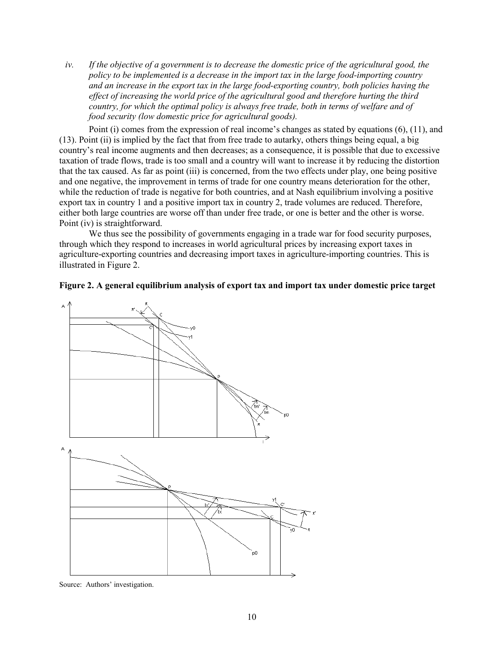*iv. If the objective of a government is to decrease the domestic price of the agricultural good, the policy to be implemented is a decrease in the import tax in the large food-importing country and an increase in the export tax in the large food-exporting country, both policies having the effect of increasing the world price of the agricultural good and therefore hurting the third country, for which the optimal policy is always free trade, both in terms of welfare and of food security (low domestic price for agricultural goods).* 

Point (i) comes from the expression of real income's changes as stated by equations (6), (11), and (13). Point (ii) is implied by the fact that from free trade to autarky, others things being equal, a big country's real income augments and then decreases; as a consequence, it is possible that due to excessive taxation of trade flows, trade is too small and a country will want to increase it by reducing the distortion that the tax caused. As far as point (iii) is concerned, from the two effects under play, one being positive and one negative, the improvement in terms of trade for one country means deterioration for the other, while the reduction of trade is negative for both countries, and at Nash equilibrium involving a positive export tax in country 1 and a positive import tax in country 2, trade volumes are reduced. Therefore, either both large countries are worse off than under free trade, or one is better and the other is worse. Point (iv) is straightforward.

We thus see the possibility of governments engaging in a trade war for food security purposes, through which they respond to increases in world agricultural prices by increasing export taxes in agriculture-exporting countries and decreasing import taxes in agriculture-importing countries. This is illustrated in Figure 2.





Source: Authors' investigation.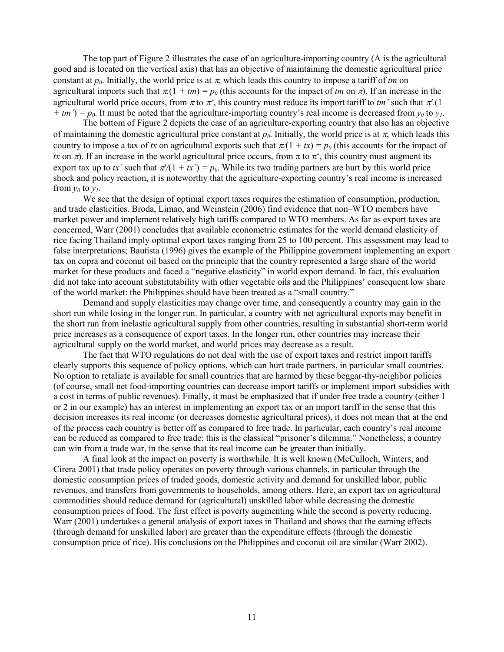The top part of Figure 2 illustrates the case of an agriculture-importing country (A is the agricultural good and is located on the vertical axis) that has an objective of maintaining the domestic agricultural price constant at  $p_0$ . Initially, the world price is at  $\pi$ , which leads this country to impose a tariff of *tm* on agricultural imports such that  $\pi(1 + tm) = p_0$  (this accounts for the impact of *tm* on  $\pi$ ). If an increase in the agricultural world price occurs, from  $\pi$  to  $\pi'$ , this country must reduce its import tariff to *tm'* such that  $\pi'$ .(1)  $+$  *tm*') =  $p_0$ . It must be noted that the agriculture-importing country's real income is decreased from  $y_0$  to  $y_1$ .

The bottom of Figure 2 depicts the case of an agriculture-exporting country that also has an objective of maintaining the domestic agricultural price constant at  $p_0$ . Initially, the world price is at  $\pi$ , which leads this country to impose a tax of *tx* on agricultural exports such that  $\pi(1 + tx) = p_0$  (this accounts for the impact of *tx* on  $\pi$ ). If an increase in the world agricultural price occurs, from  $\pi$  to  $\pi^*$ , this country must augment its export tax up to *tx*' such that  $\pi/(1 + tx') = p_0$ . While its two trading partners are hurt by this world price shock and policy reaction, it is noteworthy that the agriculture-exporting country's real income is increased from  $y_0$  to  $y_1$ .

We see that the design of optimal export taxes requires the estimation of consumption, production, and trade elasticities. Broda, Limao, and Weinstein (2006) find evidence that non–WTO members have market power and implement relatively high tariffs compared to WTO members. As far as export taxes are concerned, Warr (2001) concludes that available econometric estimates for the world demand elasticity of rice facing Thailand imply optimal export taxes ranging from 25 to 100 percent. This assessment may lead to false interpretations; Bautista (1996) gives the example of the Philippine government implementing an export tax on copra and coconut oil based on the principle that the country represented a large share of the world market for these products and faced a "negative elasticity" in world export demand. In fact, this evaluation did not take into account substitutability with other vegetable oils and the Philippines' consequent low share of the world market: the Philippines should have been treated as a "small country."

Demand and supply elasticities may change over time, and consequently a country may gain in the short run while losing in the longer run. In particular, a country with net agricultural exports may benefit in the short run from inelastic agricultural supply from other countries, resulting in substantial short-term world price increases as a consequence of export taxes. In the longer run, other countries may increase their agricultural supply on the world market, and world prices may decrease as a result.

The fact that WTO regulations do not deal with the use of export taxes and restrict import tariffs clearly supports this sequence of policy options, which can hurt trade partners, in particular small countries. No option to retaliate is available for small countries that are harmed by these beggar-thy-neighbor policies (of course, small net food-importing countries can decrease import tariffs or implement import subsidies with a cost in terms of public revenues). Finally, it must be emphasized that if under free trade a country (either 1 or 2 in our example) has an interest in implementing an export tax or an import tariff in the sense that this decision increases its real income (or decreases domestic agricultural prices), it does not mean that at the end of the process each country is better off as compared to free trade. In particular, each country's real income can be reduced as compared to free trade: this is the classical "prisoner's dilemma." Nonetheless, a country can win from a trade war, in the sense that its real income can be greater than initially.

A final look at the impact on poverty is worthwhile. It is well known (McCulloch, Winters, and Cirera 2001) that trade policy operates on poverty through various channels, in particular through the domestic consumption prices of traded goods, domestic activity and demand for unskilled labor, public revenues, and transfers from governments to households, among others. Here, an export tax on agricultural commodities should reduce demand for (agricultural) unskilled labor while decreasing the domestic consumption prices of food. The first effect is poverty augmenting while the second is poverty reducing. Warr (2001) undertakes a general analysis of export taxes in Thailand and shows that the earning effects (through demand for unskilled labor) are greater than the expenditure effects (through the domestic consumption price of rice). His conclusions on the Philippines and coconut oil are similar (Warr 2002).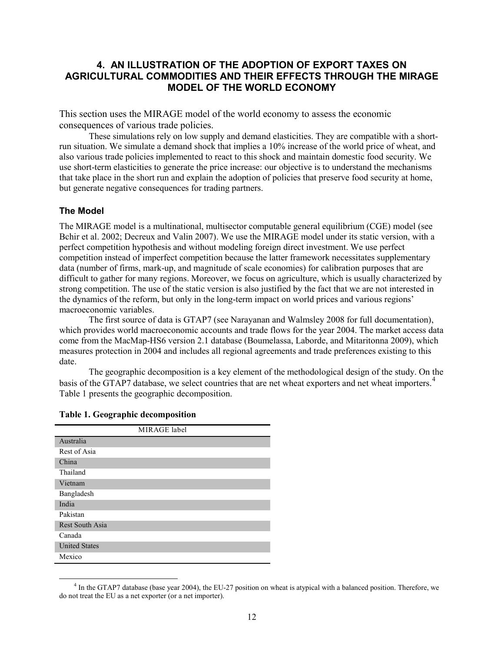## **4. AN ILLUSTRATION OF THE ADOPTION OF EXPORT TAXES ON AGRICULTURAL COMMODITIES AND THEIR EFFECTS THROUGH THE MIRAGE MODEL OF THE WORLD ECONOMY**

This section uses the MIRAGE model of the world economy to assess the economic consequences of various trade policies.

These simulations rely on low supply and demand elasticities. They are compatible with a shortrun situation. We simulate a demand shock that implies a 10% increase of the world price of wheat, and also various trade policies implemented to react to this shock and maintain domestic food security. We use short-term elasticities to generate the price increase: our objective is to understand the mechanisms that take place in the short run and explain the adoption of policies that preserve food security at home, but generate negative consequences for trading partners.

### **The Model**

The MIRAGE model is a multinational, multisector computable general equilibrium (CGE) model (see Bchir et al. 2002; Decreux and Valin 2007). We use the MIRAGE model under its static version, with a perfect competition hypothesis and without modeling foreign direct investment. We use perfect competition instead of imperfect competition because the latter framework necessitates supplementary data (number of firms, mark-up, and magnitude of scale economies) for calibration purposes that are difficult to gather for many regions. Moreover, we focus on agriculture, which is usually characterized by strong competition. The use of the static version is also justified by the fact that we are not interested in the dynamics of the reform, but only in the long-term impact on world prices and various regions' macroeconomic variables.

The first source of data is GTAP7 (see Narayanan and Walmsley 2008 for full documentation), which provides world macroeconomic accounts and trade flows for the year 2004. The market access data come from the MacMap-HS6 version 2.1 database (Boumelassa, Laborde, and Mitaritonna 2009), which measures protection in 2004 and includes all regional agreements and trade preferences existing to this date.

The geographic decomposition is a key element of the methodological design of the study. On the basis of the GTAP7 database, we select countries that are net wheat exporters and net wheat importers.<sup>[4](#page-17-0)</sup> Table 1 presents the geographic decomposition.

| MIRAGE label           |  |
|------------------------|--|
| Australia              |  |
| Rest of Asia           |  |
| China                  |  |
| Thailand               |  |
| Vietnam                |  |
| Bangladesh             |  |
| India                  |  |
| Pakistan               |  |
| <b>Rest South Asia</b> |  |
| Canada                 |  |
| <b>United States</b>   |  |
| Mexico                 |  |

#### **Table 1. Geographic decomposition**

<span id="page-17-0"></span> $4$  In the GTAP7 database (base year 2004), the EU-27 position on wheat is atypical with a balanced position. Therefore, we do not treat the EU as a net exporter (or a net importer).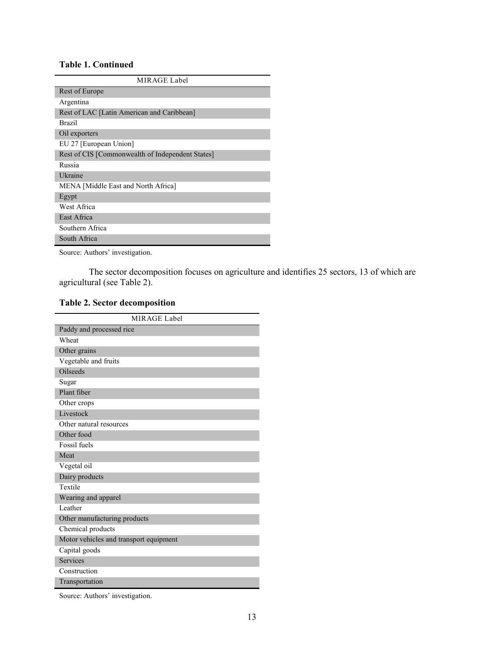## **Table 1. Continued**

| MIRAGE Label                                     |
|--------------------------------------------------|
| Rest of Europe                                   |
| Argentina                                        |
| Rest of LAC [Latin American and Caribbean]       |
| <b>Brazil</b>                                    |
| Oil exporters                                    |
| EU 27 [European Union]                           |
| Rest of CIS [Commonwealth of Independent States] |
| Russia                                           |
| Ukraine                                          |
| MENA [Middle East and North Africa]              |
| Egypt                                            |
| West Africa                                      |
| East Africa                                      |
| Southern Africa                                  |
| South Africa                                     |

Source: Authors' investigation.

The sector decomposition focuses on agriculture and identifies 25 sectors, 13 of which are agricultural (see Table 2).

## **Table 2. Sector decomposition**

| <b>MIRAGE Label</b>                    |
|----------------------------------------|
| Paddy and processed rice               |
| Wheat                                  |
| Other grains                           |
| Vegetable and fruits                   |
| <b>Oilseeds</b>                        |
| Sugar                                  |
| Plant fiber                            |
| Other crops                            |
| Livestock                              |
| Other natural resources                |
| Other food                             |
| Fossil fuels                           |
| Meat                                   |
| Vegetal oil                            |
| Dairy products                         |
| Textile                                |
| Wearing and apparel                    |
| Leather                                |
| Other manufacturing products           |
| Chemical products                      |
| Motor vehicles and transport equipment |
| Capital goods                          |
| Services                               |
| Construction                           |
| Transportation                         |

Source: Authors' investigation.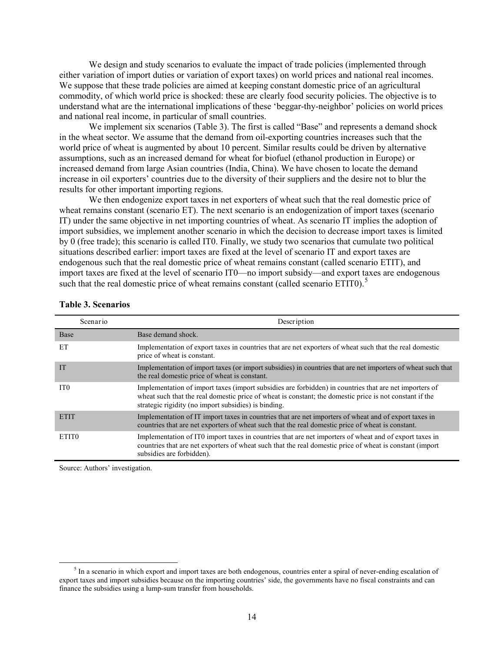We design and study scenarios to evaluate the impact of trade policies (implemented through either variation of import duties or variation of export taxes) on world prices and national real incomes. We suppose that these trade policies are aimed at keeping constant domestic price of an agricultural commodity, of which world price is shocked: these are clearly food security policies. The objective is to understand what are the international implications of these 'beggar-thy-neighbor' policies on world prices and national real income, in particular of small countries.

We implement six scenarios (Table 3). The first is called "Base" and represents a demand shock in the wheat sector. We assume that the demand from oil-exporting countries increases such that the world price of wheat is augmented by about 10 percent. Similar results could be driven by alternative assumptions, such as an increased demand for wheat for biofuel (ethanol production in Europe) or increased demand from large Asian countries (India, China). We have chosen to locate the demand increase in oil exporters' countries due to the diversity of their suppliers and the desire not to blur the results for other important importing regions.

We then endogenize export taxes in net exporters of wheat such that the real domestic price of wheat remains constant (scenario ET). The next scenario is an endogenization of import taxes (scenario IT) under the same objective in net importing countries of wheat. As scenario IT implies the adoption of import subsidies, we implement another scenario in which the decision to decrease import taxes is limited by 0 (free trade); this scenario is called IT0. Finally, we study two scenarios that cumulate two political situations described earlier: import taxes are fixed at the level of scenario IT and export taxes are endogenous such that the real domestic price of wheat remains constant (called scenario ETIT), and import taxes are fixed at the level of scenario IT0—no import subsidy—and export taxes are endogenous such that the real domestic price of wheat remains constant (called scenario ETIT0).<sup>[5](#page-19-0)</sup>

| Scenario          | Description                                                                                                                                                                                                                                                               |
|-------------------|---------------------------------------------------------------------------------------------------------------------------------------------------------------------------------------------------------------------------------------------------------------------------|
| Base              | Base demand shock.                                                                                                                                                                                                                                                        |
| ET                | Implementation of export taxes in countries that are net exporters of wheat such that the real domestic<br>price of wheat is constant.                                                                                                                                    |
| <b>IT</b>         | Implementation of import taxes (or import subsidies) in countries that are net importers of wheat such that<br>the real domestic price of wheat is constant.                                                                                                              |
| IT <sub>0</sub>   | Implementation of import taxes (import subsidies are forbidden) in countries that are net importers of<br>wheat such that the real domestic price of wheat is constant; the domestic price is not constant if the<br>strategic rigidity (no import subsidies) is binding. |
| <b>ETIT</b>       | Implementation of IT import taxes in countries that are net importers of wheat and of export taxes in<br>countries that are net exporters of wheat such that the real domestic price of wheat is constant.                                                                |
| ETIT <sub>0</sub> | Implementation of ITO import taxes in countries that are net importers of wheat and of export taxes in<br>countries that are net exporters of wheat such that the real domestic price of wheat is constant (import<br>subsidies are forbidden).                           |

#### **Table 3. Scenarios**

Source: Authors' investigation.

<span id="page-19-0"></span> $<sup>5</sup>$  In a scenario in which export and import taxes are both endogenous, countries enter a spiral of never-ending escalation of</sup> export taxes and import subsidies because on the importing countries' side, the governments have no fiscal constraints and can finance the subsidies using a lump-sum transfer from households.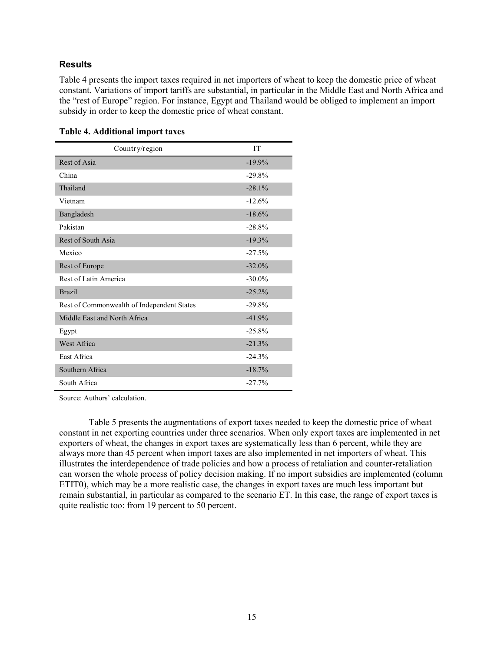### **Results**

Table 4 presents the import taxes required in net importers of wheat to keep the domestic price of wheat constant. Variations of import tariffs are substantial, in particular in the Middle East and North Africa and the "rest of Europe" region. For instance, Egypt and Thailand would be obliged to implement an import subsidy in order to keep the domestic price of wheat constant.

| Country/region                             | <b>IT</b> |
|--------------------------------------------|-----------|
| Rest of Asia                               | $-19.9%$  |
| China                                      | $-29.8%$  |
| Thailand                                   | $-28.1%$  |
| Vietnam                                    | $-12.6%$  |
| Bangladesh                                 | $-18.6%$  |
| Pakistan                                   | $-28.8%$  |
| Rest of South Asia                         | $-19.3%$  |
| Mexico                                     | $-27.5%$  |
| Rest of Europe                             | $-32.0%$  |
| Rest of Latin America                      | $-30.0\%$ |
| <b>Brazil</b>                              | $-25.2%$  |
| Rest of Commonwealth of Independent States | $-29.8%$  |
| Middle East and North Africa               | $-41.9%$  |
| Egypt                                      | $-25.8%$  |
| West Africa                                | $-21.3%$  |
| East Africa                                | $-24.3%$  |
| Southern Africa                            | $-18.7%$  |
| South Africa                               | $-27.7%$  |

### **Table 4. Additional import taxes**

Source: Authors' calculation.

Table 5 presents the augmentations of export taxes needed to keep the domestic price of wheat constant in net exporting countries under three scenarios. When only export taxes are implemented in net exporters of wheat, the changes in export taxes are systematically less than 6 percent, while they are always more than 45 percent when import taxes are also implemented in net importers of wheat. This illustrates the interdependence of trade policies and how a process of retaliation and counter-retaliation can worsen the whole process of policy decision making. If no import subsidies are implemented (column ETIT0), which may be a more realistic case, the changes in export taxes are much less important but remain substantial, in particular as compared to the scenario ET. In this case, the range of export taxes is quite realistic too: from 19 percent to 50 percent.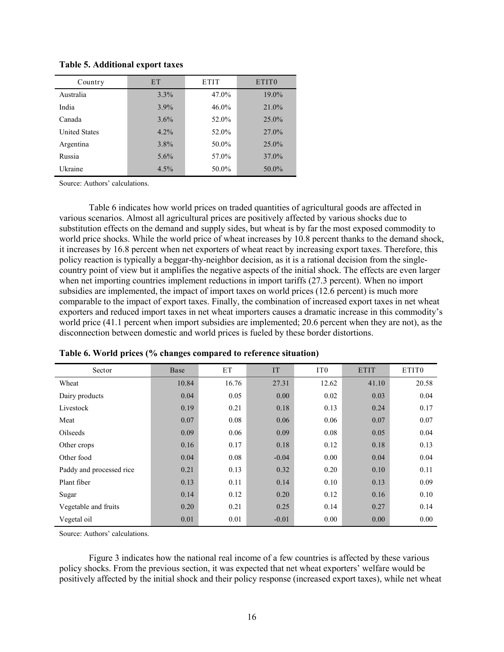| Country              | <b>ET</b> | <b>ETIT</b> | ETIT <sub>0</sub> |
|----------------------|-----------|-------------|-------------------|
| Australia            | $3.3\%$   | 47.0%       | 19.0%             |
| India                | 3.9%      | $46.0\%$    | 21.0%             |
| Canada               | 3.6%      | 52.0%       | $25.0\%$          |
| <b>United States</b> | 4.2%      | 52.0%       | $27.0\%$          |
| Argentina            | $3.8\%$   | 50.0%       | $25.0\%$          |
| Russia               | 5.6%      | 57.0%       | 37.0%             |
| Ukraine              | 4.5%      | 50.0%       | 50.0%             |

**Table 5. Additional export taxes**

Source: Authors' calculations.

Table 6 indicates how world prices on traded quantities of agricultural goods are affected in various scenarios. Almost all agricultural prices are positively affected by various shocks due to substitution effects on the demand and supply sides, but wheat is by far the most exposed commodity to world price shocks. While the world price of wheat increases by 10.8 percent thanks to the demand shock, it increases by 16.8 percent when net exporters of wheat react by increasing export taxes. Therefore, this policy reaction is typically a beggar-thy-neighbor decision, as it is a rational decision from the singlecountry point of view but it amplifies the negative aspects of the initial shock. The effects are even larger when net importing countries implement reductions in import tariffs (27.3 percent). When no import subsidies are implemented, the impact of import taxes on world prices (12.6 percent) is much more comparable to the impact of export taxes. Finally, the combination of increased export taxes in net wheat exporters and reduced import taxes in net wheat importers causes a dramatic increase in this commodity's world price (41.1 percent when import subsidies are implemented; 20.6 percent when they are not), as the disconnection between domestic and world prices is fueled by these border distortions.

| Sector                   | Base  | ET    | <b>IT</b> | IT <sub>0</sub> | <b>ETIT</b> | ETIT0 |
|--------------------------|-------|-------|-----------|-----------------|-------------|-------|
| Wheat                    | 10.84 | 16.76 | 27.31     | 12.62           | 41.10       | 20.58 |
| Dairy products           | 0.04  | 0.05  | 0.00      | 0.02            | 0.03        | 0.04  |
| Livestock                | 0.19  | 0.21  | 0.18      | 0.13            | 0.24        | 0.17  |
| Meat                     | 0.07  | 0.08  | 0.06      | 0.06            | 0.07        | 0.07  |
| Oilseeds                 | 0.09  | 0.06  | 0.09      | 0.08            | 0.05        | 0.04  |
| Other crops              | 0.16  | 0.17  | 0.18      | 0.12            | 0.18        | 0.13  |
| Other food               | 0.04  | 0.08  | $-0.04$   | 0.00            | 0.04        | 0.04  |
| Paddy and processed rice | 0.21  | 0.13  | 0.32      | 0.20            | 0.10        | 0.11  |
| Plant fiber              | 0.13  | 0.11  | 0.14      | 0.10            | 0.13        | 0.09  |
| Sugar                    | 0.14  | 0.12  | 0.20      | 0.12            | 0.16        | 0.10  |
| Vegetable and fruits     | 0.20  | 0.21  | 0.25      | 0.14            | 0.27        | 0.14  |
| Vegetal oil              | 0.01  | 0.01  | $-0.01$   | 0.00            | 0.00        | 0.00  |

|  |  | Table 6. World prices (% changes compared to reference situation) |  |
|--|--|-------------------------------------------------------------------|--|
|  |  |                                                                   |  |

Source: Authors' calculations.

Figure 3 indicates how the national real income of a few countries is affected by these various policy shocks. From the previous section, it was expected that net wheat exporters' welfare would be positively affected by the initial shock and their policy response (increased export taxes), while net wheat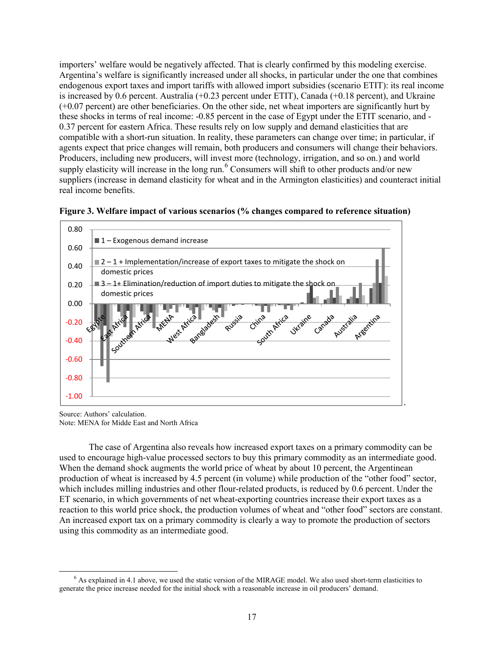importers' welfare would be negatively affected. That is clearly confirmed by this modeling exercise. Argentina's welfare is significantly increased under all shocks, in particular under the one that combines endogenous export taxes and import tariffs with allowed import subsidies (scenario ETIT): its real income is increased by 0.6 percent. Australia (+0.23 percent under ETIT), Canada (+0.18 percent), and Ukraine (+0.07 percent) are other beneficiaries. On the other side, net wheat importers are significantly hurt by these shocks in terms of real income: -0.85 percent in the case of Egypt under the ETIT scenario, and - 0.37 percent for eastern Africa. These results rely on low supply and demand elasticities that are compatible with a short-run situation. In reality, these parameters can change over time; in particular, if agents expect that price changes will remain, both producers and consumers will change their behaviors. Producers, including new producers, will invest more (technology, irrigation, and so on.) and world supply elasticity will increase in the long run. <sup>[6](#page-22-0)</sup> Consumers will shift to other products and/or new suppliers (increase in demand elasticity for wheat and in the Armington elasticities) and counteract initial real income benefits.





Source: Authors' calculation. Note: MENA for Midde East and North Africa

The case of Argentina also reveals how increased export taxes on a primary commodity can be used to encourage high-value processed sectors to buy this primary commodity as an intermediate good. When the demand shock augments the world price of wheat by about 10 percent, the Argentinean production of wheat is increased by 4.5 percent (in volume) while production of the "other food" sector, which includes milling industries and other flour-related products, is reduced by 0.6 percent. Under the ET scenario, in which governments of net wheat-exporting countries increase their export taxes as a reaction to this world price shock, the production volumes of wheat and "other food" sectors are constant. An increased export tax on a primary commodity is clearly a way to promote the production of sectors using this commodity as an intermediate good.

<span id="page-22-0"></span> $6$  As explained in 4.1 above, we used the static version of the MIRAGE model. We also used short-term elasticities to generate the price increase needed for the initial shock with a reasonable increase in oil producers' demand.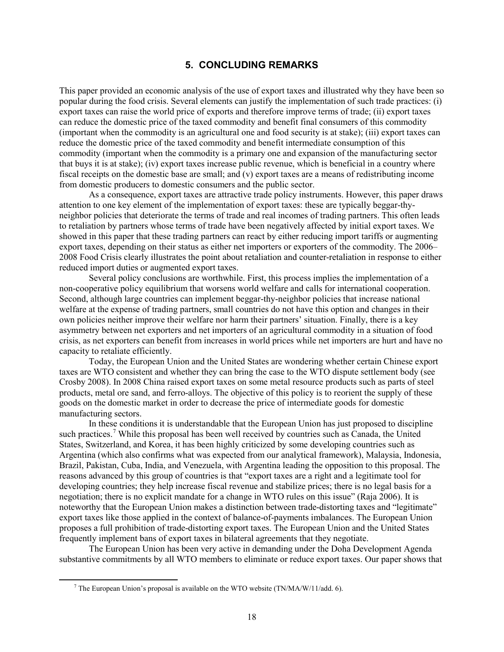### **5. CONCLUDING REMARKS**

This paper provided an economic analysis of the use of export taxes and illustrated why they have been so popular during the food crisis. Several elements can justify the implementation of such trade practices: (i) export taxes can raise the world price of exports and therefore improve terms of trade; (ii) export taxes can reduce the domestic price of the taxed commodity and benefit final consumers of this commodity (important when the commodity is an agricultural one and food security is at stake); (iii) export taxes can reduce the domestic price of the taxed commodity and benefit intermediate consumption of this commodity (important when the commodity is a primary one and expansion of the manufacturing sector that buys it is at stake); (iv) export taxes increase public revenue, which is beneficial in a country where fiscal receipts on the domestic base are small; and (v) export taxes are a means of redistributing income from domestic producers to domestic consumers and the public sector.

As a consequence, export taxes are attractive trade policy instruments. However, this paper draws attention to one key element of the implementation of export taxes: these are typically beggar-thyneighbor policies that deteriorate the terms of trade and real incomes of trading partners. This often leads to retaliation by partners whose terms of trade have been negatively affected by initial export taxes. We showed in this paper that these trading partners can react by either reducing import tariffs or augmenting export taxes, depending on their status as either net importers or exporters of the commodity. The 2006– 2008 Food Crisis clearly illustrates the point about retaliation and counter-retaliation in response to either reduced import duties or augmented export taxes.

Several policy conclusions are worthwhile. First, this process implies the implementation of a non-cooperative policy equilibrium that worsens world welfare and calls for international cooperation. Second, although large countries can implement beggar-thy-neighbor policies that increase national welfare at the expense of trading partners, small countries do not have this option and changes in their own policies neither improve their welfare nor harm their partners' situation. Finally, there is a key asymmetry between net exporters and net importers of an agricultural commodity in a situation of food crisis, as net exporters can benefit from increases in world prices while net importers are hurt and have no capacity to retaliate efficiently.

Today, the European Union and the United States are wondering whether certain Chinese export taxes are WTO consistent and whether they can bring the case to the WTO dispute settlement body (see Crosby 2008). In 2008 China raised export taxes on some metal resource products such as parts of steel products, metal ore sand, and ferro-alloys. The objective of this policy is to reorient the supply of these goods on the domestic market in order to decrease the price of intermediate goods for domestic manufacturing sectors.

In these conditions it is understandable that the European Union has just proposed to discipline such practices.<sup>[7](#page-23-0)</sup> While this proposal has been well received by countries such as Canada, the United States, Switzerland, and Korea, it has been highly criticized by some developing countries such as Argentina (which also confirms what was expected from our analytical framework), Malaysia, Indonesia, Brazil, Pakistan, Cuba, India, and Venezuela, with Argentina leading the opposition to this proposal. The reasons advanced by this group of countries is that "export taxes are a right and a legitimate tool for developing countries; they help increase fiscal revenue and stabilize prices; there is no legal basis for a negotiation; there is no explicit mandate for a change in WTO rules on this issue" (Raja 2006). It is noteworthy that the European Union makes a distinction between trade-distorting taxes and "legitimate" export taxes like those applied in the context of balance-of-payments imbalances. The European Union proposes a full prohibition of trade-distorting export taxes. The European Union and the United States frequently implement bans of export taxes in bilateral agreements that they negotiate.

<span id="page-23-0"></span>The European Union has been very active in demanding under the Doha Development Agenda substantive commitments by all WTO members to eliminate or reduce export taxes. Our paper shows that

 $^7$  The European Union's proposal is available on the WTO website (TN/MA/W/11/add. 6).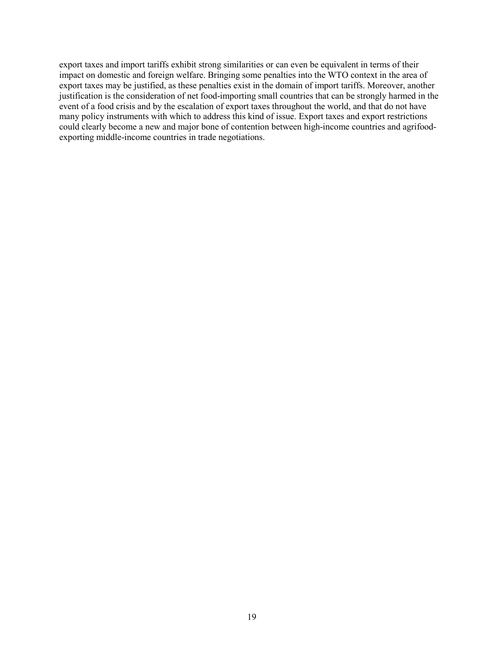export taxes and import tariffs exhibit strong similarities or can even be equivalent in terms of their impact on domestic and foreign welfare. Bringing some penalties into the WTO context in the area of export taxes may be justified, as these penalties exist in the domain of import tariffs. Moreover, another justification is the consideration of net food-importing small countries that can be strongly harmed in the event of a food crisis and by the escalation of export taxes throughout the world, and that do not have many policy instruments with which to address this kind of issue. Export taxes and export restrictions could clearly become a new and major bone of contention between high-income countries and agrifoodexporting middle-income countries in trade negotiations.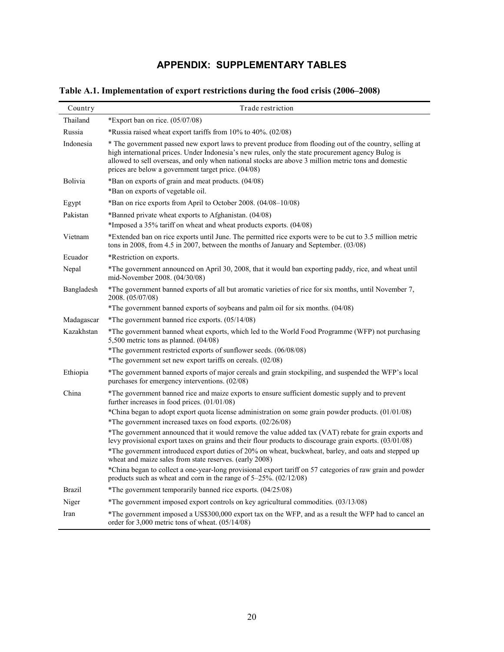# **APPENDIX: SUPPLEMENTARY TABLES**

| Country       | Trade restriction                                                                                                                                                                                                                                                                                                                                                                    |
|---------------|--------------------------------------------------------------------------------------------------------------------------------------------------------------------------------------------------------------------------------------------------------------------------------------------------------------------------------------------------------------------------------------|
| Thailand      | *Export ban on rice. $(05/07/08)$                                                                                                                                                                                                                                                                                                                                                    |
| Russia        | *Russia raised wheat export tariffs from 10% to 40%. (02/08)                                                                                                                                                                                                                                                                                                                         |
| Indonesia     | * The government passed new export laws to prevent produce from flooding out of the country, selling at<br>high international prices. Under Indonesia's new rules, only the state procurement agency Bulog is<br>allowed to sell overseas, and only when national stocks are above 3 million metric tons and domestic<br>prices are below a government target price. (04/08)         |
| Bolivia       | *Ban on exports of grain and meat products. (04/08)<br>*Ban on exports of vegetable oil.                                                                                                                                                                                                                                                                                             |
| Egypt         | *Ban on rice exports from April to October 2008. (04/08–10/08)                                                                                                                                                                                                                                                                                                                       |
| Pakistan      | *Banned private wheat exports to Afghanistan. (04/08)<br>*Imposed a 35% tariff on wheat and wheat products exports. (04/08)                                                                                                                                                                                                                                                          |
| Vietnam       | *Extended ban on rice exports until June. The permitted rice exports were to be cut to 3.5 million metric<br>tons in 2008, from 4.5 in 2007, between the months of January and September. $(03/08)$                                                                                                                                                                                  |
| Ecuador       | *Restriction on exports.                                                                                                                                                                                                                                                                                                                                                             |
| Nepal         | *The government announced on April 30, 2008, that it would ban exporting paddy, rice, and wheat until<br>mid-November 2008. (04/30/08)                                                                                                                                                                                                                                               |
| Bangladesh    | *The government banned exports of all but aromatic varieties of rice for six months, until November 7,<br>2008. (05/07/08)                                                                                                                                                                                                                                                           |
|               | *The government banned exports of soybeans and palm oil for six months. (04/08)                                                                                                                                                                                                                                                                                                      |
| Madagascar    | *The government banned rice exports. (05/14/08)                                                                                                                                                                                                                                                                                                                                      |
| Kazakhstan    | *The government banned wheat exports, which led to the World Food Programme (WFP) not purchasing<br>5,500 metric tons as planned. $(04/08)$                                                                                                                                                                                                                                          |
|               | *The government restricted exports of sunflower seeds. (06/08/08)                                                                                                                                                                                                                                                                                                                    |
|               | *The government set new export tariffs on cereals. (02/08)                                                                                                                                                                                                                                                                                                                           |
| Ethiopia      | *The government banned exports of major cereals and grain stockpiling, and suspended the WFP's local<br>purchases for emergency interventions. (02/08)                                                                                                                                                                                                                               |
| China         | *The government banned rice and maize exports to ensure sufficient domestic supply and to prevent<br>further increases in food prices. (01/01/08)                                                                                                                                                                                                                                    |
|               | *China began to adopt export quota license administration on some grain powder products. $(01/01/08)$<br>*The government increased taxes on food exports. (02/26/08)                                                                                                                                                                                                                 |
|               | *The government announced that it would remove the value added tax (VAT) rebate for grain exports and<br>levy provisional export taxes on grains and their flour products to discourage grain exports. (03/01/08)<br>*The government introduced export duties of 20% on wheat, buckwheat, barley, and oats and stepped up<br>wheat and maize sales from state reserves. (early 2008) |
|               | *China began to collect a one-year-long provisional export tariff on 57 categories of raw grain and powder<br>products such as wheat and corn in the range of $5-25\%$ . $(02/12/08)$                                                                                                                                                                                                |
| <b>Brazil</b> | *The government temporarily banned rice exports. (04/25/08)                                                                                                                                                                                                                                                                                                                          |
| Niger         | *The government imposed export controls on key agricultural commodities. (03/13/08)                                                                                                                                                                                                                                                                                                  |
| Iran          | *The government imposed a US\$300,000 export tax on the WFP, and as a result the WFP had to cancel an<br>order for 3,000 metric tons of wheat. (05/14/08)                                                                                                                                                                                                                            |

**Table A.1. Implementation of export restrictions during the food crisis (2006–2008)**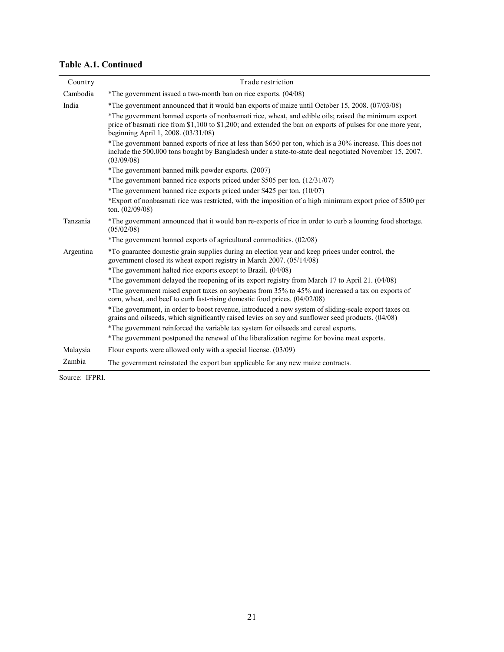## **Table A.1. Continued**

| Country   | Trade restriction                                                                                                                                                                                                                                          |  |  |  |  |
|-----------|------------------------------------------------------------------------------------------------------------------------------------------------------------------------------------------------------------------------------------------------------------|--|--|--|--|
| Cambodia  | *The government issued a two-month ban on rice exports. (04/08)                                                                                                                                                                                            |  |  |  |  |
| India     | *The government announced that it would ban exports of maize until October 15, 2008. (07/03/08)                                                                                                                                                            |  |  |  |  |
|           | *The government banned exports of nonbasmati rice, wheat, and edible oils; raised the minimum export<br>price of basmati rice from \$1,100 to \$1,200; and extended the ban on exports of pulses for one more year,<br>beginning April 1, 2008. (03/31/08) |  |  |  |  |
|           | *The government banned exports of rice at less than \$650 per ton, which is a 30% increase. This does not<br>include the 500,000 tons bought by Bangladesh under a state-to-state deal negotiated November 15, 2007.<br>(03/09/08)                         |  |  |  |  |
|           | *The government banned milk powder exports. (2007)                                                                                                                                                                                                         |  |  |  |  |
|           | *The government banned rice exports priced under \$505 per ton. (12/31/07)                                                                                                                                                                                 |  |  |  |  |
|           | *The government banned rice exports priced under \$425 per ton. (10/07)                                                                                                                                                                                    |  |  |  |  |
|           | *Export of nonbasmati rice was restricted, with the imposition of a high minimum export price of \$500 per<br>ton. $(02/09/08)$                                                                                                                            |  |  |  |  |
| Tanzania  | *The government announced that it would ban re-exports of rice in order to curb a looming food shortage.<br>(05/02/08)                                                                                                                                     |  |  |  |  |
|           | *The government banned exports of agricultural commodities. (02/08)                                                                                                                                                                                        |  |  |  |  |
| Argentina | *To guarantee domestic grain supplies during an election year and keep prices under control, the<br>government closed its wheat export registry in March 2007. (05/14/08)                                                                                  |  |  |  |  |
|           | *The government halted rice exports except to Brazil. (04/08)                                                                                                                                                                                              |  |  |  |  |
|           | *The government delayed the reopening of its export registry from March 17 to April 21. (04/08)                                                                                                                                                            |  |  |  |  |
|           | *The government raised export taxes on soybeans from 35% to 45% and increased a tax on exports of<br>corn, wheat, and beef to curb fast-rising domestic food prices. (04/02/08)                                                                            |  |  |  |  |
|           | *The government, in order to boost revenue, introduced a new system of sliding-scale export taxes on<br>grains and oilseeds, which significantly raised levies on soy and sunflower seed products. (04/08)                                                 |  |  |  |  |
|           | *The government reinforced the variable tax system for oilseeds and cereal exports.                                                                                                                                                                        |  |  |  |  |
|           | *The government postponed the renewal of the liberalization regime for bovine meat exports.                                                                                                                                                                |  |  |  |  |
| Malaysia  | Flour exports were allowed only with a special license. (03/09)                                                                                                                                                                                            |  |  |  |  |
| Zambia    | The government reinstated the export ban applicable for any new maize contracts.                                                                                                                                                                           |  |  |  |  |

Source: IFPRI.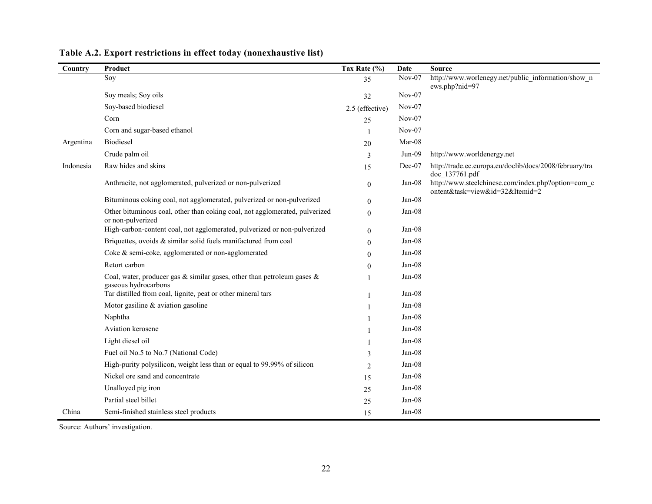| Country   | Product                                                                                               | Tax Rate (%)    | Date     | <b>Source</b>                                                                         |
|-----------|-------------------------------------------------------------------------------------------------------|-----------------|----------|---------------------------------------------------------------------------------------|
|           | Soy                                                                                                   | 35              | $Nov-07$ | http://www.worlenegy.net/public information/show n<br>ews.php?nid=97                  |
|           | Soy meals; Soy oils                                                                                   | 32              | Nov-07   |                                                                                       |
|           | Soy-based biodiesel                                                                                   | 2.5 (effective) | $Nov-07$ |                                                                                       |
|           | Corn                                                                                                  | 25              | $Nov-07$ |                                                                                       |
|           | Corn and sugar-based ethanol                                                                          |                 | $Nov-07$ |                                                                                       |
| Argentina | Biodiesel                                                                                             | 20              | Mar-08   |                                                                                       |
|           | Crude palm oil                                                                                        | 3               | $Jun-09$ | http://www.worldenergy.net                                                            |
| Indonesia | Raw hides and skins                                                                                   | 15              | $Dec-07$ | http://trade.ec.europa.eu/doclib/docs/2008/february/tra<br>doc 137761.pdf             |
|           | Anthracite, not agglomerated, pulverized or non-pulverized                                            | $\overline{0}$  | Jan-08   | http://www.steelchinese.com/index.php?option=com c<br>ontent&task=view&id=32&Itemid=2 |
|           | Bituminous coking coal, not agglomerated, pulverized or non-pulverized                                | $\theta$        | $Jan-08$ |                                                                                       |
|           | Other bituminous coal, other than coking coal, not agglomerated, pulverized<br>or non-pulverized      | $\theta$        | $Jan-08$ |                                                                                       |
|           | High-carbon-content coal, not agglomerated, pulverized or non-pulverized                              | $\theta$        | $Jan-08$ |                                                                                       |
|           | Briquettes, ovoids & similar solid fuels manifactured from coal                                       | $\theta$        | $Jan-08$ |                                                                                       |
|           | Coke & semi-coke, agglomerated or non-agglomerated                                                    | $\theta$        | Jan-08   |                                                                                       |
|           | Retort carbon                                                                                         | $\theta$        | $Jan-08$ |                                                                                       |
|           | Coal, water, producer gas $\&$ similar gases, other than petroleum gases $\&$<br>gaseous hydrocarbons |                 | $Jan-08$ |                                                                                       |
|           | Tar distilled from coal, lignite, peat or other mineral tars                                          |                 | $Jan-08$ |                                                                                       |
|           | Motor gasiline $&$ aviation gasoline                                                                  |                 | $Jan-08$ |                                                                                       |
|           | Naphtha                                                                                               |                 | Jan-08   |                                                                                       |
|           | Aviation kerosene                                                                                     |                 | $Jan-08$ |                                                                                       |
|           | Light diesel oil                                                                                      |                 | $Jan-08$ |                                                                                       |
|           | Fuel oil No.5 to No.7 (National Code)                                                                 | 3               | $Jan-08$ |                                                                                       |
|           | High-purity polysilicon, weight less than or equal to 99.99% of silicon                               | 2               | $Jan-08$ |                                                                                       |
|           | Nickel ore sand and concentrate                                                                       | 15              | $Jan-08$ |                                                                                       |
|           | Unalloyed pig iron                                                                                    | 25              | $Jan-08$ |                                                                                       |
|           | Partial steel billet                                                                                  | 25              | Jan-08   |                                                                                       |
| China     | Semi-finished stainless steel products                                                                | 15              | Jan-08   |                                                                                       |

## **Table A.2. Export restrictions in effect today (nonexhaustive list)**

Source: Authors' investigation.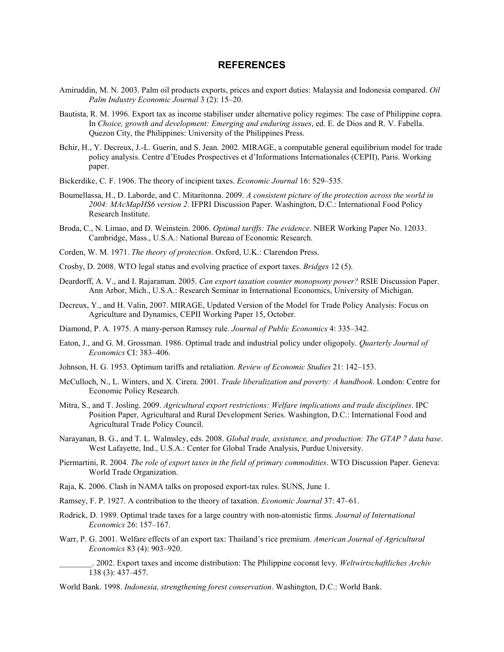#### **REFERENCES**

- Amiruddin, M. N. 2003. Palm oil products exports, prices and export duties: Malaysia and Indonesia compared. *Oil Palm Industry Economic Journal* 3 (2): 15–20.
- Bautista, R. M. 1996. Export tax as income stabiliser under alternative policy regimes: The case of Philippine copra. In *Choice, growth and development: Emerging and enduring issues*, ed. E. de Dios and R. V. Fabella. Quezon City, the Philippines: University of the Philippines Press.
- Bchir, H., Y. Decreux, J.-L. Guerin, and S. Jean. 2002. MIRAGE, a computable general equilibrium model for trade policy analysis. Centre d'Etudes Prospectives et d'Informations Internationales (CEPII), Paris. Working paper.
- Bickerdike, C. F. 1906. The theory of incipient taxes. *Economic Journal* 16: 529–535.
- Boumellassa, H., D. Laborde, and C. Mitaritonna. 2009. *A consistent picture of the protection across the world in 2004: MAcMapHS6 version 2*. IFPRI Discussion Paper. Washington, D.C.: International Food Policy Research Institute.
- Broda, C., N. Limao, and D. Weinstein. 2006. *Optimal tariffs: The evidence*. NBER Working Paper No. 12033. Cambridge, Mass., U.S.A.: National Bureau of Economic Research.
- Corden, W. M. 1971. *The theory of protection*. Oxford, U.K.: Clarendon Press.
- Crosby, D. 2008. WTO legal status and evolving practice of export taxes. *Bridges* 12 (5).
- Deardorff, A. V., and I. Rajaraman. 2005. *Can export taxation counter monopsony power?* RSIE Discussion Paper. Ann Arbor, Mich., U.S.A.: Research Seminar in International Economics, University of Michigan.
- Decreux, Y., and H. Valin, 2007. MIRAGE, Updated Version of the Model for Trade Policy Analysis: Focus on Agriculture and Dynamics, CEPII Working Paper 15, October.
- Diamond, P. A. 1975. A many-person Ramsey rule. *Journal of Public Economics* 4: 335–342.
- Eaton, J., and G. M. Grossman. 1986. Optimal trade and industrial policy under oligopoly. *Quarterly Journal of Economics* CI: 383–406.
- Johnson, H. G. 1953. Optimum tariffs and retaliation. *Review of Economic Studies* 21: 142–153.
- McCulloch, N., L. Winters, and X. Cirera. 2001. *Trade liberalization and poverty: A handbook*. London: Centre for Economic Policy Research.
- Mitra, S., and T. Josling. 2009. *Agricultural export restrictions: Welfare implications and trade disciplines*. IPC Position Paper, Agricultural and Rural Development Series. Washington, D.C.: International Food and Agricultural Trade Policy Council.
- Narayanan, B. G., and T. L. Walmsley, eds. 2008. *Global trade, assistance, and production: The GTAP 7 data base*. West Lafayette, Ind., U.S.A.: Center for Global Trade Analysis, Purdue University.
- Piermartini, R. 2004. *The role of export taxes in the field of primary commodities*. WTO Discussion Paper. Geneva: World Trade Organization.
- Raja, K. 2006. Clash in NAMA talks on proposed export-tax rules. SUNS, June 1.
- Ramsey, F. P. 1927. A contribution to the theory of taxation. *Economic Journal* 37: 47–61.
- Rodrick, D. 1989. Optimal trade taxes for a large country with non-atomistic firms. *Journal of International Economics* 26: 157–167.
- Warr, P. G. 2001. Welfare effects of an export tax: Thailand's rice premium. *American Journal of Agricultural Economics* 83 (4): 903–920.
	- \_\_\_\_\_\_\_\_. 2002. Export taxes and income distribution: The Philippine coconut levy. *Weltwirtschaftliches Archiv* 138 (3): 437–457.
- World Bank. 1998. *Indonesia, strengthening forest conservation*. Washington, D.C.: World Bank.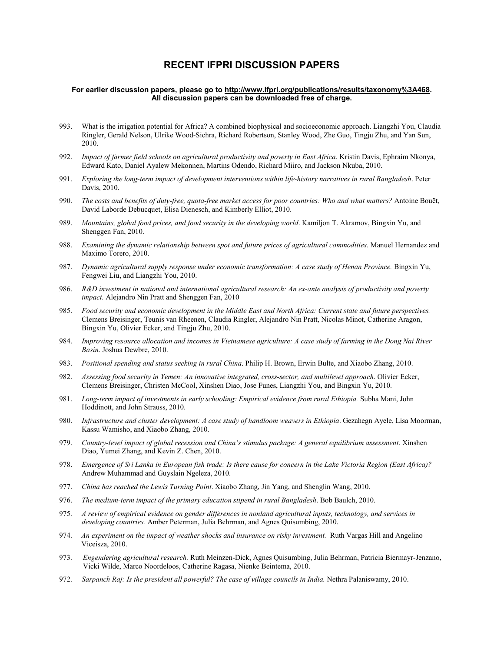### **RECENT IFPRI DISCUSSION PAPERS**

#### **For earlier discussion papers, please go to [http://www.ifpri.org/publications/results/taxonomy%3A468.](http://www.ifpri.org/publications/results/taxonomy%3A468) All discussion papers can be downloaded free of charge.**

- 993. What is the irrigation potential for Africa? A combined biophysical and socioeconomic approach. Liangzhi You, Claudia Ringler, Gerald Nelson, Ulrike Wood-Sichra, Richard Robertson, Stanley Wood, Zhe Guo, Tingju Zhu, and Yan Sun, 2010.
- 992. *Impact of farmer field schools on agricultural productivity and poverty in East Africa*. Kristin Davis, Ephraim Nkonya, Edward Kato, Daniel Ayalew Mekonnen, Martins Odendo, Richard Miiro, and Jackson Nkuba, 2010.
- 991. *Exploring the long-term impact of development interventions within life-history narratives in rural Bangladesh*. Peter Davis, 2010.
- 990. *The costs and benefits of duty-free, quota-free market access for poor countries: Who and what matters?* Antoine Bouët, David Laborde Debucquet, Elisa Dienesch, and Kimberly Elliot, 2010.
- 989. *Mountains, global food prices, and food security in the developing world*. Kamiljon T. Akramov, Bingxin Yu, and Shenggen Fan, 2010.
- 988. *Examining the dynamic relationship between spot and future prices of agricultural commodities*. Manuel Hernandez and Maximo Torero, 2010.
- 987. *Dynamic agricultural supply response under economic transformation: A case study of Henan Province.* Bingxin Yu, Fengwei Liu, and Liangzhi You, 2010.
- 986. *R&D investment in national and international agricultural research: An ex-ante analysis of productivity and poverty impact.* Alejandro Nin Pratt and Shenggen Fan, 2010
- 985. *Food security and economic development in the Middle East and North Africa: Current state and future perspectives.* Clemens Breisinger, Teunis van Rheenen, Claudia Ringler, Alejandro Nin Pratt, Nicolas Minot, Catherine Aragon, Bingxin Yu, Olivier Ecker, and Tingju Zhu, 2010.
- 984. *Improving resource allocation and incomes in Vietnamese agriculture: A case study of farming in the Dong Nai River Basin*. Joshua Dewbre, 2010.
- 983. *Positional spending and status seeking in rural China*. Philip H. Brown, Erwin Bulte, and Xiaobo Zhang, 2010.
- 982. *Assessing food security in Yemen: An innovative integrated, cross-sector, and multilevel approach*. Olivier Ecker, Clemens Breisinger, Christen McCool, Xinshen Diao, Jose Funes, Liangzhi You, and Bingxin Yu, 2010.
- 981. *Long-term impact of investments in early schooling: Empirical evidence from rural Ethiopia.* Subha Mani, John Hoddinott, and John Strauss, 2010.
- 980. *Infrastructure and cluster development: A case study of handloom weavers in Ethiopia*. Gezahegn Ayele, Lisa Moorman, Kassu Wamisho, and Xiaobo Zhang, 2010.
- 979. *Country-level impact of global recession and China's stimulus package: A general equilibrium assessment*. Xinshen Diao, Yumei Zhang, and Kevin Z. Chen, 2010.
- 978. *Emergence of Sri Lanka in European fish trade: Is there cause for concern in the Lake Victoria Region (East Africa)?*  Andrew Muhammad and Guyslain Ngeleza, 2010.
- 977. *China has reached the Lewis Turning Point*. Xiaobo Zhang, Jin Yang, and Shenglin Wang, 2010.
- 976. *The medium-term impact of the primary education stipend in rural Bangladesh*. Bob Baulch, 2010.
- 975. *A review of empirical evidence on gender differences in nonland agricultural inputs, technology, and services in developing countries.* Amber Peterman, Julia Behrman, and Agnes Quisumbing, 2010.
- 974. *An experiment on the impact of weather shocks and insurance on risky investment.* Ruth Vargas Hill and Angelino Viceisza, 2010.
- 973. *Engendering agricultural research.* Ruth Meinzen-Dick, Agnes Quisumbing, Julia Behrman, Patricia Biermayr-Jenzano, Vicki Wilde, Marco Noordeloos, Catherine Ragasa, Nienke Beintema, 2010.
- 972. *Sarpanch Raj: Is the president all powerful? The case of village councils in India. Nethra Palaniswamy, 2010.*